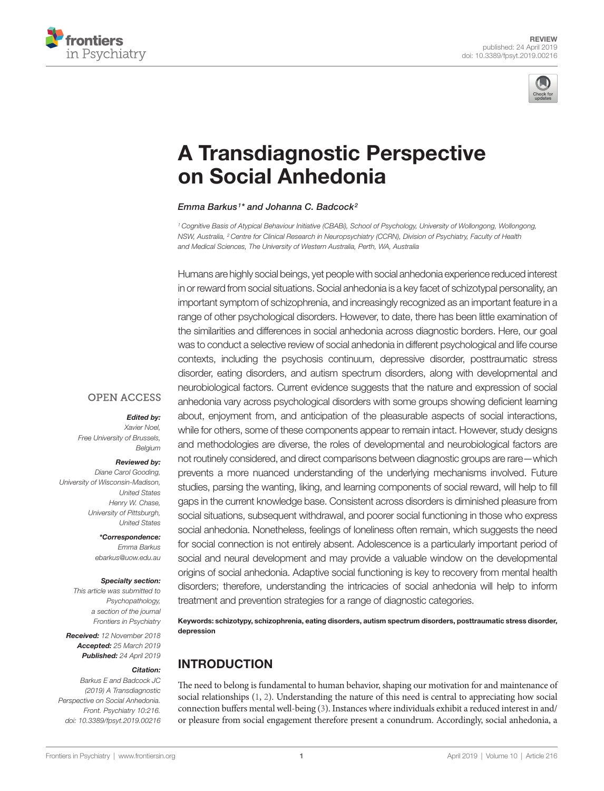



# [A Transdiagnostic Perspective](https://www.frontiersin.org/article/10.3389/fpsyt.2019.00216/full)  [on Social Anhedonia](https://www.frontiersin.org/article/10.3389/fpsyt.2019.00216/full)

#### *[Emma Barkus1\\*](https://loop.frontiersin.org/people/81643) and [Johanna C. Badcock2](https://loop.frontiersin.org/people/55963)*

*1 Cognitive Basis of Atypical Behaviour Initiative (CBABi), School of Psychology, University of Wollongong, Wollongong, NSW, Australia, 2 Centre for Clinical Research in Neuropsychiatry (CCRN), Division of Psychiatry, Faculty of Health and Medical Sciences, The University of Western Australia, Perth, WA, Australia*

Humans are highly social beings, yet people with social anhedonia experience reduced interest in or reward from social situations. Social anhedonia is a key facet of schizotypal personality, an important symptom of schizophrenia, and increasingly recognized as an important feature in a range of other psychological disorders. However, to date, there has been little examination of the similarities and differences in social anhedonia across diagnostic borders. Here, our goal was to conduct a selective review of social anhedonia in different psychological and life course contexts, including the psychosis continuum, depressive disorder, posttraumatic stress disorder, eating disorders, and autism spectrum disorders, along with developmental and neurobiological factors. Current evidence suggests that the nature and expression of social anhedonia vary across psychological disorders with some groups showing deficient learning about, enjoyment from, and anticipation of the pleasurable aspects of social interactions, while for others, some of these components appear to remain intact. However, study designs and methodologies are diverse, the roles of developmental and neurobiological factors are not routinely considered, and direct comparisons between diagnostic groups are rare—which prevents a more nuanced understanding of the underlying mechanisms involved. Future studies, parsing the wanting, liking, and learning components of social reward, will help to fill gaps in the current knowledge base. Consistent across disorders is diminished pleasure from social situations, subsequent withdrawal, and poorer social functioning in those who express social anhedonia. Nonetheless, feelings of loneliness often remain, which suggests the need for social connection is not entirely absent. Adolescence is a particularly important period of social and neural development and may provide a valuable window on the developmental origins of social anhedonia. Adaptive social functioning is key to recovery from mental health disorders; therefore, understanding the intricacies of social anhedonia will help to inform treatment and prevention strategies for a range of diagnostic categories.

Keywords: schizotypy, schizophrenia, eating disorders, autism spectrum disorders, posttraumatic stress disorder, depression

# INTRODUCTION

The need to belong is fundamental to human behavior, shaping our motivation for and maintenance of social relationships [\(1,](#page-9-0) [2\)](#page-9-1). Understanding the nature of this need is central to appreciating how social connection buffers mental well-being [\(3\)](#page-9-2). Instances where individuals exhibit a reduced interest in and/ or pleasure from social engagement therefore present a conundrum. Accordingly, social anhedonia, a

# **OPEN ACCESS**

#### *Edited by:*

*Xavier Noel, Free University of Brussels, Belgium*

#### *Reviewed by:*

*Diane Carol Gooding, University of Wisconsin-Madison, United States Henry W. Chase, University of Pittsburgh, United States*

#### *\*Correspondence: Emma Barkus*

*[ebarkus@uow.edu.au](mailto:ebarkus@uow.edu.au)*

#### *Specialty section:*

*This article was submitted to Psychopathology, a section of the journal Frontiers in Psychiatry*

*Received: 12 November 2018 Accepted: 25 March 2019 Published: 24 April 2019*

#### *Citation:*

*Barkus E and Badcock JC (2019) A Transdiagnostic Perspective on Social Anhedonia. Front. Psychiatry 10:216. doi: [10.3389/fpsyt.2019.00216](https://doi.org/10.3389/fpsyt.2019.00216)*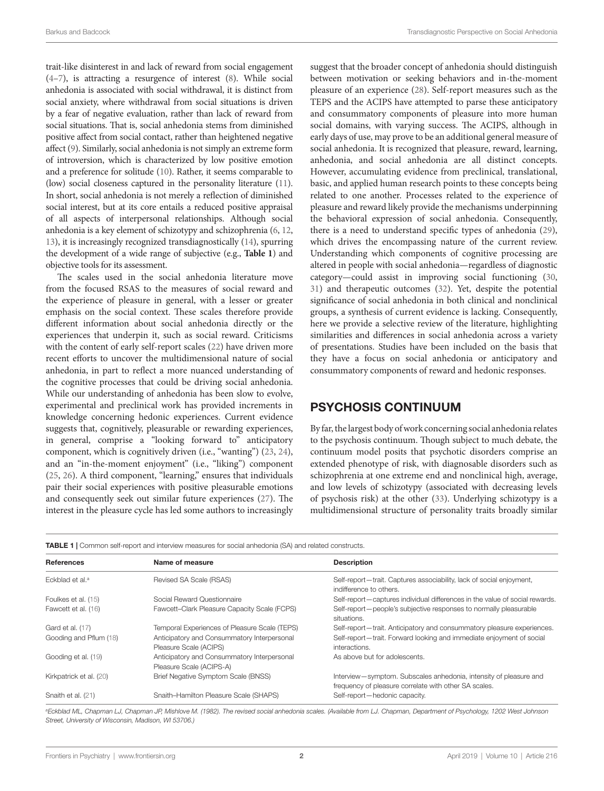trait-like disinterest in and lack of reward from social engagement [\(4](#page-9-3)–7), is attracting a resurgence of interest (8). While social anhedonia is associated with social withdrawal, it is distinct from social anxiety, where withdrawal from social situations is driven by a fear of negative evaluation, rather than lack of reward from social situations. That is, social anhedonia stems from diminished positive affect from social contact, rather than heightened negative affect (9). Similarly, social anhedonia is not simply an extreme form of introversion, which is characterized by low positive emotion and a preference for solitude [\(10](#page-9-4)). Rather, it seems comparable to (low) social closeness captured in the personality literature ([11\)](#page-9-5). In short, social anhedonia is not merely a reflection of diminished social interest, but at its core entails a reduced positive appraisal of all aspects of interpersonal relationships. Although social anhedonia is a key element of schizotypy and schizophrenia (6, [12,](#page-9-6) [13\)](#page-9-7), it is increasingly recognized transdiagnostically ([14\)](#page-9-8), spurring the development of a wide range of subjective (e.g., **Table 1**) and objective tools for its assessment.

The scales used in the social anhedonia literature move from the focused RSAS to the measures of social reward and the experience of pleasure in general, with a lesser or greater emphasis on the social context. These scales therefore provide different information about social anhedonia directly or the experiences that underpin it, such as social reward. Criticisms with the content of early self-report scales [\(22](#page-9-9)) have driven more recent efforts to uncover the multidimensional nature of social anhedonia, in part to reflect a more nuanced understanding of the cognitive processes that could be driving social anhedonia. While our understanding of anhedonia has been slow to evolve, experimental and preclinical work has provided increments in knowledge concerning hedonic experiences. Current evidence suggests that, cognitively, pleasurable or rewarding experiences, in general, comprise a "looking forward to" anticipatory component, which is cognitively driven (i.e., "wanting") ([23,](#page-9-10) [24](#page-9-11)), and an "in-the-moment enjoyment" (i.e., "liking") component [\(25](#page-9-12), [26](#page-9-13)). A third component, "learning," ensures that individuals pair their social experiences with positive pleasurable emotions and consequently seek out similar future experiences [\(27](#page-9-14)). The interest in the pleasure cycle has led some authors to increasingly suggest that the broader concept of anhedonia should distinguish between motivation or seeking behaviors and in-the-moment pleasure of an experience ([28\)](#page-9-15). Self-report measures such as the TEPS and the ACIPS have attempted to parse these anticipatory and consummatory components of pleasure into more human social domains, with varying success. The ACIPS, although in early days of use, may prove to be an additional general measure of social anhedonia. It is recognized that pleasure, reward, learning, anhedonia, and social anhedonia are all distinct concepts. However, accumulating evidence from preclinical, translational, basic, and applied human research points to these concepts being related to one another. Processes related to the experience of pleasure and reward likely provide the mechanisms underpinning the behavioral expression of social anhedonia. Consequently, there is a need to understand specific types of anhedonia [\(29](#page-9-16)), which drives the encompassing nature of the current review. Understanding which components of cognitive processing are altered in people with social anhedonia—regardless of diagnostic category—could assist in improving social functioning [\(30](#page-9-17), [31\)](#page-9-18) and therapeutic outcomes [\(32](#page-9-19)). Yet, despite the potential significance of social anhedonia in both clinical and nonclinical groups, a synthesis of current evidence is lacking. Consequently, here we provide a selective review of the literature, highlighting similarities and differences in social anhedonia across a variety of presentations. Studies have been included on the basis that they have a focus on social anhedonia or anticipatory and consummatory components of reward and hedonic responses.

# PSYCHOSIS CONTINUUM

By far, the largest body of work concerning social anhedonia relates to the psychosis continuum. Though subject to much debate, the continuum model posits that psychotic disorders comprise an extended phenotype of risk, with diagnosable disorders such as schizophrenia at one extreme end and nonclinical high, average, and low levels of schizotypy (associated with decreasing levels of psychosis risk) at the other ([33\)](#page-10-0). Underlying schizotypy is a multidimensional structure of personality traits broadly similar

| TABLE 1   Common self-report and interview measures for social anhedonia (SA) and related constructs. |  |
|-------------------------------------------------------------------------------------------------------|--|
|-------------------------------------------------------------------------------------------------------|--|

| <b>References</b>           | Name of measure                                                         | <b>Description</b>                                                                                                         |
|-----------------------------|-------------------------------------------------------------------------|----------------------------------------------------------------------------------------------------------------------------|
| Eckblad et al. <sup>a</sup> | Revised SA Scale (RSAS)                                                 | Self-report-trait. Captures associability, lack of social enjoyment,<br>indifference to others.                            |
| Foulkes et al. (15)         | Social Reward Questionnaire                                             | Self-report-captures individual differences in the value of social rewards.                                                |
| Fawcett et al. (16)         | Fawcett-Clark Pleasure Capacity Scale (FCPS)                            | Self-report-people's subjective responses to normally pleasurable<br>situations.                                           |
| Gard et al. (17)            | Temporal Experiences of Pleasure Scale (TEPS)                           | Self-report-trait. Anticipatory and consummatory pleasure experiences.                                                     |
| Gooding and Pflum (18)      | Anticipatory and Consummatory Interpersonal<br>Pleasure Scale (ACIPS)   | Self-report-trait. Forward looking and immediate enjoyment of social<br>interactions.                                      |
| Gooding et al. (19)         | Anticipatory and Consummatory Interpersonal<br>Pleasure Scale (ACIPS-A) | As above but for adolescents.                                                                                              |
| Kirkpatrick et al. (20)     | Brief Negative Symptom Scale (BNSS)                                     | Interview-symptom. Subscales anhedonia, intensity of pleasure and<br>frequency of pleasure correlate with other SA scales. |
| Snaith et al. (21)          | Snaith-Hamilton Pleasure Scale (SHAPS)                                  | Self-report-hedonic capacity.                                                                                              |

aEckblad ML, Chapman LJ, Chapman JP, Mishlove M. (1982). The revised social anhedonia scales. (Available from LJ. Chapman, Department of Psychology, 1202 West Johnson *Street, University of Wisconsin, Madison, WI 53706.)*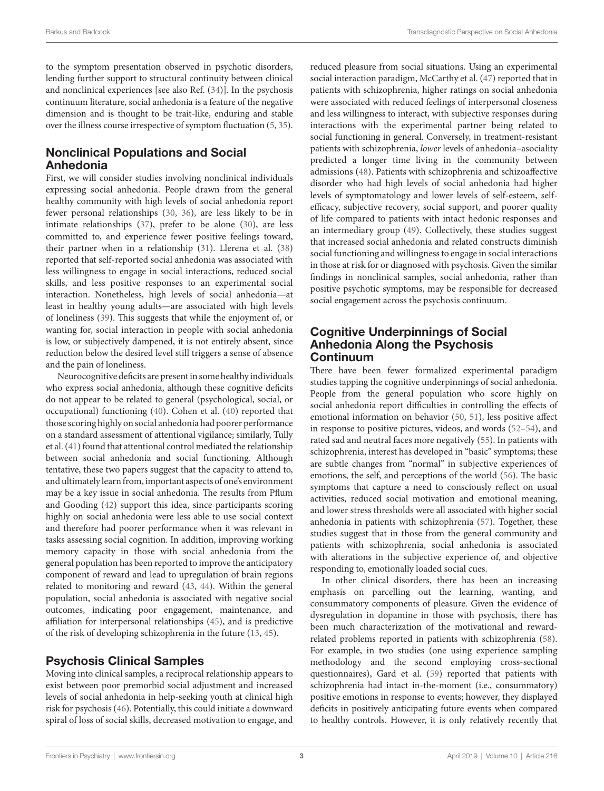to the symptom presentation observed in psychotic disorders, lending further support to structural continuity between clinical and nonclinical experiences [see also Ref. ([34\)](#page-10-1)]. In the psychosis continuum literature, social anhedonia is a feature of the negative dimension and is thought to be trait-like, enduring and stable over the illness course irrespective of symptom fluctuation [\(5,](#page-9-27) [35](#page-10-2)).

# Nonclinical Populations and Social Anhedonia

First, we will consider studies involving nonclinical individuals expressing social anhedonia. People drawn from the general healthy community with high levels of social anhedonia report fewer personal relationships [\(30](#page-9-17), [36](#page-10-3)), are less likely to be in intimate relationships [\(37](#page-10-4)), prefer to be alone ([30\)](#page-9-17), are less committed to, and experience fewer positive feelings toward, their partner when in a relationship ([31\)](#page-9-18). Llerena et al. [\(38\)](#page-10-5) reported that self-reported social anhedonia was associated with less willingness to engage in social interactions, reduced social skills, and less positive responses to an experimental social interaction. Nonetheless, high levels of social anhedonia—at least in healthy young adults—are associated with high levels of loneliness ([39\)](#page-10-6). This suggests that while the enjoyment of, or wanting for, social interaction in people with social anhedonia is low, or subjectively dampened, it is not entirely absent, since reduction below the desired level still triggers a sense of absence and the pain of loneliness.

Neurocognitive deficits are present in some healthy individuals who express social anhedonia, although these cognitive deficits do not appear to be related to general (psychological, social, or occupational) functioning [\(40\)](#page-10-7). Cohen et al. ([40\)](#page-10-7) reported that those scoring highly on social anhedonia had poorer performance on a standard assessment of attentional vigilance; similarly, Tully et al. [\(41](#page-10-8)) found that attentional control mediated the relationship between social anhedonia and social functioning. Although tentative, these two papers suggest that the capacity to attend to, and ultimately learn from, important aspects of one's environment may be a key issue in social anhedonia. The results from Pflum and Gooding ([42](#page-10-9)) support this idea, since participants scoring highly on social anhedonia were less able to use social context and therefore had poorer performance when it was relevant in tasks assessing social cognition. In addition, improving working memory capacity in those with social anhedonia from the general population has been reported to improve the anticipatory component of reward and lead to upregulation of brain regions related to monitoring and reward ([43,](#page-10-10) [44\)](#page-10-11). Within the general population, social anhedonia is associated with negative social outcomes, indicating poor engagement, maintenance, and affiliation for interpersonal relationships [\(45](#page-10-12)), and is predictive of the risk of developing schizophrenia in the future ([13,](#page-9-7) [45](#page-10-12)).

# Psychosis Clinical Samples

Moving into clinical samples, a reciprocal relationship appears to exist between poor premorbid social adjustment and increased levels of social anhedonia in help-seeking youth at clinical high risk for psychosis [\(46](#page-10-13)). Potentially, this could initiate a downward spiral of loss of social skills, decreased motivation to engage, and reduced pleasure from social situations. Using an experimental social interaction paradigm, McCarthy et al. [\(47](#page-10-14)) reported that in patients with schizophrenia, higher ratings on social anhedonia were associated with reduced feelings of interpersonal closeness and less willingness to interact, with subjective responses during interactions with the experimental partner being related to social functioning in general. Conversely, in treatment-resistant patients with schizophrenia, *lower* levels of anhedonia–asociality predicted a longer time living in the community between admissions ([48\)](#page-10-15). Patients with schizophrenia and schizoaffective disorder who had high levels of social anhedonia had higher levels of symptomatology and lower levels of self-esteem, selfefficacy, subjective recovery, social support, and poorer quality of life compared to patients with intact hedonic responses and an intermediary group [\(49](#page-10-16)). Collectively, these studies suggest that increased social anhedonia and related constructs diminish social functioning and willingness to engage in social interactions in those at risk for or diagnosed with psychosis. Given the similar findings in nonclinical samples, social anhedonia, rather than positive psychotic symptoms, may be responsible for decreased social engagement across the psychosis continuum.

## Cognitive Underpinnings of Social Anhedonia Along the Psychosis Continuum

There have been fewer formalized experimental paradigm studies tapping the cognitive underpinnings of social anhedonia. People from the general population who score highly on social anhedonia report difficulties in controlling the effects of emotional information on behavior ([50,](#page-10-17) [51\)](#page-10-18), less positive affect in response to positive pictures, videos, and words [\(52](#page-10-19)[–54](#page-10-20)), and rated sad and neutral faces more negatively ([55\)](#page-10-21). In patients with schizophrenia, interest has developed in "basic" symptoms; these are subtle changes from "normal" in subjective experiences of emotions, the self, and perceptions of the world [\(56](#page-10-22)). The basic symptoms that capture a need to consciously reflect on usual activities, reduced social motivation and emotional meaning, and lower stress thresholds were all associated with higher social anhedonia in patients with schizophrenia ([57\)](#page-10-23). Together, these studies suggest that in those from the general community and patients with schizophrenia, social anhedonia is associated with alterations in the subjective experience of, and objective responding to, emotionally loaded social cues.

In other clinical disorders, there has been an increasing emphasis on parcelling out the learning, wanting, and consummatory components of pleasure. Given the evidence of dysregulation in dopamine in those with psychosis, there has been much characterization of the motivational and rewardrelated problems reported in patients with schizophrenia [\(58](#page-10-24)). For example, in two studies (one using experience sampling methodology and the second employing cross-sectional questionnaires), Gard et al. ([59\)](#page-10-25) reported that patients with schizophrenia had intact in-the-moment (i.e., consummatory) positive emotions in response to events; however, they displayed deficits in positively anticipating future events when compared to healthy controls. However, it is only relatively recently that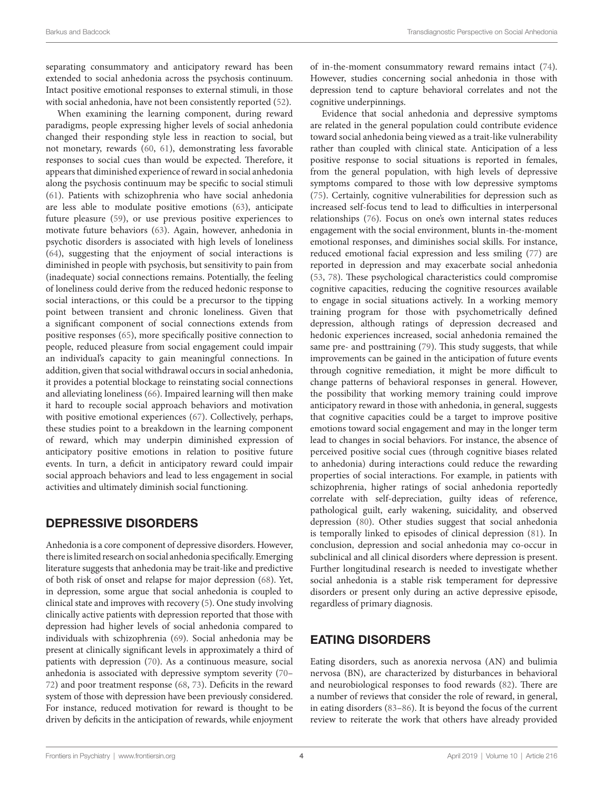separating consummatory and anticipatory reward has been extended to social anhedonia across the psychosis continuum. Intact positive emotional responses to external stimuli, in those with social anhedonia, have not been consistently reported ([52\)](#page-10-19).

When examining the learning component, during reward paradigms, people expressing higher levels of social anhedonia changed their responding style less in reaction to social, but not monetary, rewards [\(60](#page-10-26), [61\)](#page-10-27), demonstrating less favorable responses to social cues than would be expected. Therefore, it appears that diminished experience of reward in social anhedonia along the psychosis continuum may be specific to social stimuli [\(61](#page-10-27)). Patients with schizophrenia who have social anhedonia are less able to modulate positive emotions [\(63](#page-10-28)), anticipate future pleasure ([59](#page-10-25)), or use previous positive experiences to motivate future behaviors ([63\)](#page-10-28). Again, however, anhedonia in psychotic disorders is associated with high levels of loneliness [\(64](#page-10-29)), suggesting that the enjoyment of social interactions is diminished in people with psychosis, but sensitivity to pain from (inadequate) social connections remains. Potentially, the feeling of loneliness could derive from the reduced hedonic response to social interactions, or this could be a precursor to the tipping point between transient and chronic loneliness. Given that a significant component of social connections extends from positive responses ([65](#page-10-30)), more specifically positive connection to people, reduced pleasure from social engagement could impair an individual's capacity to gain meaningful connections. In addition, given that social withdrawal occurs in social anhedonia, it provides a potential blockage to reinstating social connections and alleviating loneliness ([66\)](#page-10-31). Impaired learning will then make it hard to recouple social approach behaviors and motivation with positive emotional experiences ([67](#page-10-32)). Collectively, perhaps, these studies point to a breakdown in the learning component of reward, which may underpin diminished expression of anticipatory positive emotions in relation to positive future events. In turn, a deficit in anticipatory reward could impair social approach behaviors and lead to less engagement in social activities and ultimately diminish social functioning.

#### DEPRESSIVE DISORDERS

Anhedonia is a core component of depressive disorders. However, there is limited research on social anhedonia specifically. Emerging literature suggests that anhedonia may be trait-like and predictive of both risk of onset and relapse for major depression ([68\)](#page-10-33). Yet, in depression, some argue that social anhedonia is coupled to clinical state and improves with recovery ([5](#page-9-27)). One study involving clinically active patients with depression reported that those with depression had higher levels of social anhedonia compared to individuals with schizophrenia [\(69](#page-10-34)). Social anhedonia may be present at clinically significant levels in approximately a third of patients with depression (70). As a continuous measure, social anhedonia is associated with depressive symptom severity (70– 72) and poor treatment response ([68,](#page-10-33) 73). Deficits in the reward system of those with depression have been previously considered. For instance, reduced motivation for reward is thought to be driven by deficits in the anticipation of rewards, while enjoyment

of in-the-moment consummatory reward remains intact (74). However, studies concerning social anhedonia in those with depression tend to capture behavioral correlates and not the cognitive underpinnings.

Evidence that social anhedonia and depressive symptoms are related in the general population could contribute evidence toward social anhedonia being viewed as a trait-like vulnerability rather than coupled with clinical state. Anticipation of a less positive response to social situations is reported in females, from the general population, with high levels of depressive symptoms compared to those with low depressive symptoms (75). Certainly, cognitive vulnerabilities for depression such as increased self-focus tend to lead to difficulties in interpersonal relationships (76). Focus on one's own internal states reduces engagement with the social environment, blunts in-the-moment emotional responses, and diminishes social skills. For instance, reduced emotional facial expression and less smiling (77) are reported in depression and may exacerbate social anhedonia [\(53](#page-10-35), 78). These psychological characteristics could compromise cognitive capacities, reducing the cognitive resources available to engage in social situations actively. In a working memory training program for those with psychometrically defined depression, although ratings of depression decreased and hedonic experiences increased, social anhedonia remained the same pre- and posttraining (79). This study suggests, that while improvements can be gained in the anticipation of future events through cognitive remediation, it might be more difficult to change patterns of behavioral responses in general. However, the possibility that working memory training could improve anticipatory reward in those with anhedonia, in general, suggests that cognitive capacities could be a target to improve positive emotions toward social engagement and may in the longer term lead to changes in social behaviors. For instance, the absence of perceived positive social cues (through cognitive biases related to anhedonia) during interactions could reduce the rewarding properties of social interactions. For example, in patients with schizophrenia, higher ratings of social anhedonia reportedly correlate with self-depreciation, guilty ideas of reference, pathological guilt, early wakening, suicidality, and observed depression (80). Other studies suggest that social anhedonia is temporally linked to episodes of clinical depression (81). In conclusion, depression and social anhedonia may co-occur in subclinical and all clinical disorders where depression is present. Further longitudinal research is needed to investigate whether social anhedonia is a stable risk temperament for depressive disorders or present only during an active depressive episode, regardless of primary diagnosis.

## EATING DISORDERS

Eating disorders, such as anorexia nervosa (AN) and bulimia nervosa (BN), are characterized by disturbances in behavioral and neurobiological responses to food rewards (82). There are a number of reviews that consider the role of reward, in general, in eating disorders (83–86). It is beyond the focus of the current review to reiterate the work that others have already provided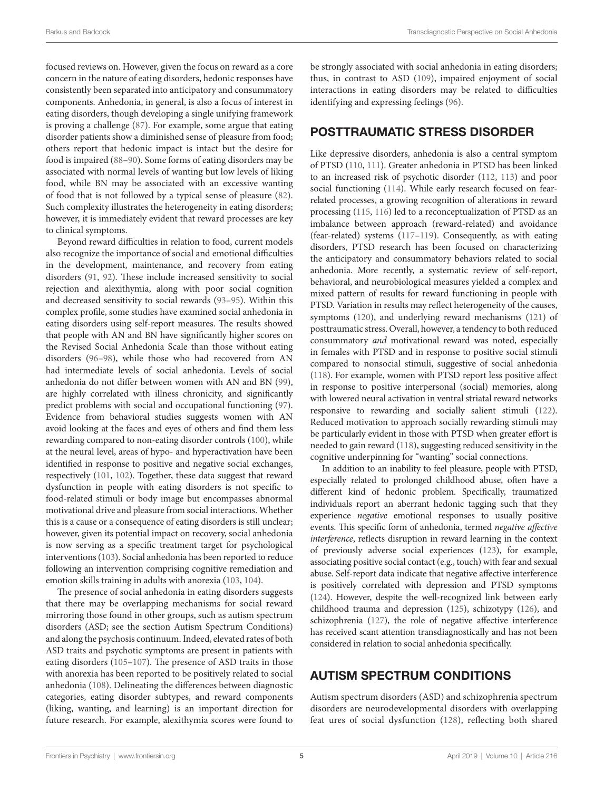focused reviews on. However, given the focus on reward as a core concern in the nature of eating disorders, hedonic responses have consistently been separated into anticipatory and consummatory components. Anhedonia, in general, is also a focus of interest in eating disorders, though developing a single unifying framework is proving a challenge (87). For example, some argue that eating disorder patients show a diminished sense of pleasure from food; others report that hedonic impact is intact but the desire for food is impaired (88–90). Some forms of eating disorders may be associated with normal levels of wanting but low levels of liking food, while BN may be associated with an excessive wanting of food that is not followed by a typical sense of pleasure (82). Such complexity illustrates the heterogeneity in eating disorders; however, it is immediately evident that reward processes are key to clinical symptoms.

Beyond reward difficulties in relation to food, current models also recognize the importance of social and emotional difficulties in the development, maintenance, and recovery from eating disorders (91, 92). These include increased sensitivity to social rejection and alexithymia, along with poor social cognition and decreased sensitivity to social rewards (93–95). Within this complex profile, some studies have examined social anhedonia in eating disorders using self-report measures. The results showed that people with AN and BN have significantly higher scores on the Revised Social Anhedonia Scale than those without eating disorders (96–98), while those who had recovered from AN had intermediate levels of social anhedonia. Levels of social anhedonia do not differ between women with AN and BN (99), are highly correlated with illness chronicity, and significantly predict problems with social and occupational functioning (97). Evidence from behavioral studies suggests women with AN avoid looking at the faces and eyes of others and find them less rewarding compared to non-eating disorder controls [\(100\)](#page-11-0), while at the neural level, areas of hypo- and hyperactivation have been identified in response to positive and negative social exchanges, respectively [\(101,](#page-11-1) [102](#page-11-2)). Together, these data suggest that reward dysfunction in people with eating disorders is not specific to food-related stimuli or body image but encompasses abnormal motivational drive and pleasure from social interactions. Whether this is a cause or a consequence of eating disorders is still unclear; however, given its potential impact on recovery, social anhedonia is now serving as a specific treatment target for psychological interventions ([103](#page-11-3)). Social anhedonia has been reported to reduce following an intervention comprising cognitive remediation and emotion skills training in adults with anorexia ([103](#page-11-3), [104](#page-11-4)).

The presence of social anhedonia in eating disorders suggests that there may be overlapping mechanisms for social reward mirroring those found in other groups, such as autism spectrum disorders (ASD; see the section Autism Spectrum Conditions) and along the psychosis continuum. Indeed, elevated rates of both ASD traits and psychotic symptoms are present in patients with eating disorders [\(105–](#page-11-5)[107](#page-11-6)). The presence of ASD traits in those with anorexia has been reported to be positively related to social anhedonia ([108](#page-11-7)). Delineating the differences between diagnostic categories, eating disorder subtypes, and reward components (liking, wanting, and learning) is an important direction for future research. For example, alexithymia scores were found to be strongly associated with social anhedonia in eating disorders; thus, in contrast to ASD [\(109\)](#page-11-8), impaired enjoyment of social interactions in eating disorders may be related to difficulties identifying and expressing feelings (96).

#### POSTTRAUMATIC STRESS DISORDER

Like depressive disorders, anhedonia is also a central symptom of PTSD ([110](#page-11-9), [111](#page-11-10)). Greater anhedonia in PTSD has been linked to an increased risk of psychotic disorder [\(112](#page-11-11), [113](#page-11-12)) and poor social functioning ([114](#page-11-13)). While early research focused on fearrelated processes, a growing recognition of alterations in reward processing [\(115,](#page-12-0) [116](#page-12-1)) led to a reconceptualization of PTSD as an imbalance between approach (reward-related) and avoidance (fear-related) systems ([117](#page-12-2)–[119](#page-12-3)). Consequently, as with eating disorders, PTSD research has been focused on characterizing the anticipatory and consummatory behaviors related to social anhedonia. More recently, a systematic review of self-report, behavioral, and neurobiological measures yielded a complex and mixed pattern of results for reward functioning in people with PTSD. Variation in results may reflect heterogeneity of the causes, symptoms ([120](#page-12-4)), and underlying reward mechanisms ([121](#page-12-5)) of posttraumatic stress. Overall, however, a tendency to both reduced consummatory *and* motivational reward was noted, especially in females with PTSD and in response to positive social stimuli compared to nonsocial stimuli, suggestive of social anhedonia [\(118\)](#page-12-6). For example, women with PTSD report less positive affect in response to positive interpersonal (social) memories, along with lowered neural activation in ventral striatal reward networks responsive to rewarding and socially salient stimuli ([122](#page-12-7)). Reduced motivation to approach socially rewarding stimuli may be particularly evident in those with PTSD when greater effort is needed to gain reward [\(118\)](#page-12-6), suggesting reduced sensitivity in the cognitive underpinning for "wanting" social connections.

In addition to an inability to feel pleasure, people with PTSD, especially related to prolonged childhood abuse, often have a different kind of hedonic problem. Specifically, traumatized individuals report an aberrant hedonic tagging such that they experience *negative* emotional responses to usually positive events. This specific form of anhedonia, termed *negative affective interference*, reflects disruption in reward learning in the context of previously adverse social experiences ([123](#page-12-8)), for example, associating positive social contact (e.g., touch) with fear and sexual abuse. Self-report data indicate that negative affective interference is positively correlated with depression and PTSD symptoms [\(124](#page-12-9)). However, despite the well-recognized link between early childhood trauma and depression ([125](#page-12-10)), schizotypy [\(126](#page-12-11)), and schizophrenia [\(127\)](#page-12-12), the role of negative affective interference has received scant attention transdiagnostically and has not been considered in relation to social anhedonia specifically.

## AUTISM SPECTRUM CONDITIONS

Autism spectrum disorders (ASD) and schizophrenia spectrum disorders are neurodevelopmental disorders with overlapping feat ures of social dysfunction [\(128](#page-12-13)), reflecting both shared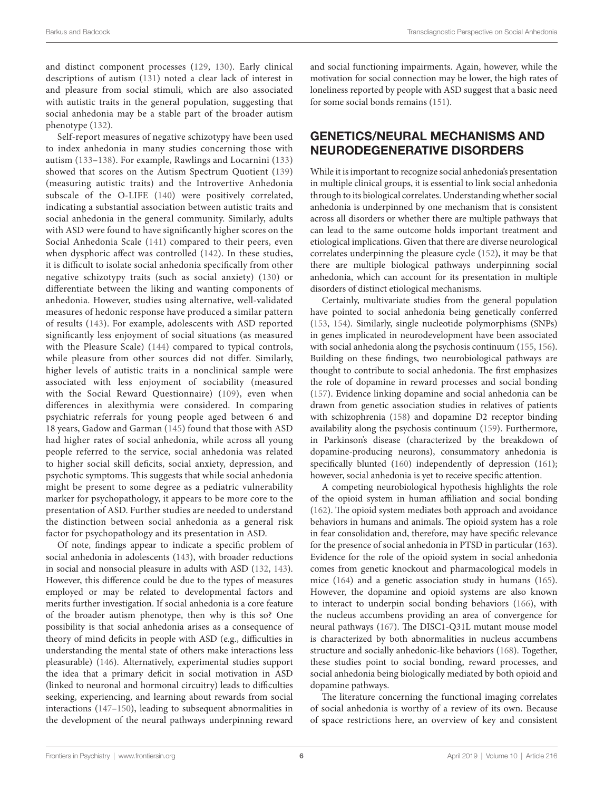and distinct component processes [\(129](#page-12-14), [130\)](#page-12-15). Early clinical descriptions of autism ([131\)](#page-12-16) noted a clear lack of interest in and pleasure from social stimuli, which are also associated with autistic traits in the general population, suggesting that social anhedonia may be a stable part of the broader autism phenotype ([132\)](#page-12-17).

Self-report measures of negative schizotypy have been used to index anhedonia in many studies concerning those with autism [\(133](#page-12-18)–[138\)](#page-12-19). For example, Rawlings and Locarnini [\(133\)](#page-12-18) showed that scores on the Autism Spectrum Quotient [\(139\)](#page-12-20) (measuring autistic traits) and the Introvertive Anhedonia subscale of the O-LIFE ([140\)](#page-12-21) were positively correlated, indicating a substantial association between autistic traits and social anhedonia in the general community. Similarly, adults with ASD were found to have significantly higher scores on the Social Anhedonia Scale ([141\)](#page-12-22) compared to their peers, even when dysphoric affect was controlled ([142\)](#page-12-23). In these studies, it is difficult to isolate social anhedonia specifically from other negative schizotypy traits (such as social anxiety) [\(130\)](#page-12-15) or differentiate between the liking and wanting components of anhedonia. However, studies using alternative, well-validated measures of hedonic response have produced a similar pattern of results ([143](#page-12-24)). For example, adolescents with ASD reported significantly less enjoyment of social situations (as measured with the Pleasure Scale) [\(144\)](#page-12-25) compared to typical controls, while pleasure from other sources did not differ. Similarly, higher levels of autistic traits in a nonclinical sample were associated with less enjoyment of sociability (measured with the Social Reward Questionnaire) ([109\)](#page-11-8), even when differences in alexithymia were considered. In comparing psychiatric referrals for young people aged between 6 and 18 years, Gadow and Garman [\(145\)](#page-12-26) found that those with ASD had higher rates of social anhedonia, while across all young people referred to the service, social anhedonia was related to higher social skill deficits, social anxiety, depression, and psychotic symptoms. This suggests that while social anhedonia might be present to some degree as a pediatric vulnerability marker for psychopathology, it appears to be more core to the presentation of ASD. Further studies are needed to understand the distinction between social anhedonia as a general risk factor for psychopathology and its presentation in ASD.

Of note, findings appear to indicate a specific problem of social anhedonia in adolescents ([143](#page-12-24)), with broader reductions in social and nonsocial pleasure in adults with ASD [\(132,](#page-12-17) [143](#page-12-24)). However, this difference could be due to the types of measures employed or may be related to developmental factors and merits further investigation. If social anhedonia is a core feature of the broader autism phenotype, then why is this so? One possibility is that social anhedonia arises as a consequence of theory of mind deficits in people with ASD (e.g., difficulties in understanding the mental state of others make interactions less pleasurable) [\(146\)](#page-12-27). Alternatively, experimental studies support the idea that a primary deficit in social motivation in ASD (linked to neuronal and hormonal circuitry) leads to difficulties seeking, experiencing, and learning about rewards from social interactions ([147](#page-12-28)[–150](#page-12-29)), leading to subsequent abnormalities in the development of the neural pathways underpinning reward

and social functioning impairments. Again, however, while the motivation for social connection may be lower, the high rates of loneliness reported by people with ASD suggest that a basic need for some social bonds remains [\(151](#page-12-30)).

# GENETICS/NEURAL MECHANISMS AND NEURODEGENERATIVE DISORDERS

While it is important to recognize social anhedonia's presentation in multiple clinical groups, it is essential to link social anhedonia through to its biological correlates. Understanding whether social anhedonia is underpinned by one mechanism that is consistent across all disorders or whether there are multiple pathways that can lead to the same outcome holds important treatment and etiological implications. Given that there are diverse neurological correlates underpinning the pleasure cycle [\(152](#page-12-31)), it may be that there are multiple biological pathways underpinning social anhedonia, which can account for its presentation in multiple disorders of distinct etiological mechanisms.

Certainly, multivariate studies from the general population have pointed to social anhedonia being genetically conferred [\(153,](#page-12-32) [154](#page-12-33)). Similarly, single nucleotide polymorphisms (SNPs) in genes implicated in neurodevelopment have been associated with social anhedonia along the psychosis continuum ([155](#page-13-0), [156](#page-13-1)). Building on these findings, two neurobiological pathways are thought to contribute to social anhedonia. The first emphasizes the role of dopamine in reward processes and social bonding [\(157\)](#page-13-2). Evidence linking dopamine and social anhedonia can be drawn from genetic association studies in relatives of patients with schizophrenia [\(158](#page-13-3)) and dopamine D2 receptor binding availability along the psychosis continuum [\(159](#page-13-4)). Furthermore, in Parkinson's disease (characterized by the breakdown of dopamine-producing neurons), consummatory anhedonia is specifically blunted ([160\)](#page-13-5) independently of depression ([161](#page-13-6)); however, social anhedonia is yet to receive specific attention.

A competing neurobiological hypothesis highlights the role of the opioid system in human affiliation and social bonding [\(162\)](#page-13-7). The opioid system mediates both approach and avoidance behaviors in humans and animals. The opioid system has a role in fear consolidation and, therefore, may have specific relevance for the presence of social anhedonia in PTSD in particular ([163](#page-13-8)). Evidence for the role of the opioid system in social anhedonia comes from genetic knockout and pharmacological models in mice ([164](#page-13-9)) and a genetic association study in humans ([165](#page-13-10)). However, the dopamine and opioid systems are also known to interact to underpin social bonding behaviors [\(166\)](#page-13-11), with the nucleus accumbens providing an area of convergence for neural pathways ([167](#page-13-12)). The DISC1-Q31L mutant mouse model is characterized by both abnormalities in nucleus accumbens structure and socially anhedonic-like behaviors ([168](#page-13-13)). Together, these studies point to social bonding, reward processes, and social anhedonia being biologically mediated by both opioid and dopamine pathways.

The literature concerning the functional imaging correlates of social anhedonia is worthy of a review of its own. Because of space restrictions here, an overview of key and consistent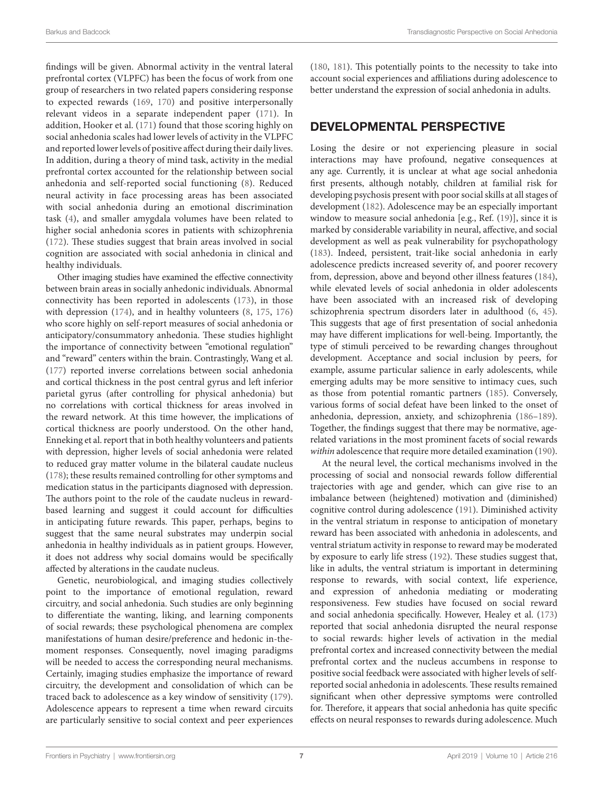findings will be given. Abnormal activity in the ventral lateral prefrontal cortex (VLPFC) has been the focus of work from one group of researchers in two related papers considering response to expected rewards ([169](#page-13-14), [170](#page-13-15)) and positive interpersonally relevant videos in a separate independent paper ([171\)](#page-13-16). In addition, Hooker et al. [\(171\)](#page-13-16) found that those scoring highly on social anhedonia scales had lower levels of activity in the VLPFC and reported lower levels of positive affect during their daily lives. In addition, during a theory of mind task, activity in the medial prefrontal cortex accounted for the relationship between social anhedonia and self-reported social functioning (8). Reduced neural activity in face processing areas has been associated with social anhedonia during an emotional discrimination task ([4](#page-9-3)), and smaller amygdala volumes have been related to higher social anhedonia scores in patients with schizophrenia [\(172](#page-13-17)). These studies suggest that brain areas involved in social cognition are associated with social anhedonia in clinical and healthy individuals.

Other imaging studies have examined the effective connectivity between brain areas in socially anhedonic individuals. Abnormal connectivity has been reported in adolescents ([173](#page-13-18)), in those with depression [\(174\)](#page-13-19), and in healthy volunteers (8, [175](#page-13-20), [176\)](#page-13-21) who score highly on self-report measures of social anhedonia or anticipatory/consummatory anhedonia. These studies highlight the importance of connectivity between "emotional regulation" and "reward" centers within the brain. Contrastingly, Wang et al. [\(177](#page-13-22)) reported inverse correlations between social anhedonia and cortical thickness in the post central gyrus and left inferior parietal gyrus (after controlling for physical anhedonia) but no correlations with cortical thickness for areas involved in the reward network. At this time however, the implications of cortical thickness are poorly understood. On the other hand, Enneking et al. report that in both healthy volunteers and patients with depression, higher levels of social anhedonia were related to reduced gray matter volume in the bilateral caudate nucleus [\(178](#page-13-23)); these results remained controlling for other symptoms and medication status in the participants diagnosed with depression. The authors point to the role of the caudate nucleus in rewardbased learning and suggest it could account for difficulties in anticipating future rewards. This paper, perhaps, begins to suggest that the same neural substrates may underpin social anhedonia in healthy individuals as in patient groups. However, it does not address why social domains would be specifically affected by alterations in the caudate nucleus.

Genetic, neurobiological, and imaging studies collectively point to the importance of emotional regulation, reward circuitry, and social anhedonia. Such studies are only beginning to differentiate the wanting, liking, and learning components of social rewards; these psychological phenomena are complex manifestations of human desire/preference and hedonic in-themoment responses. Consequently, novel imaging paradigms will be needed to access the corresponding neural mechanisms. Certainly, imaging studies emphasize the importance of reward circuitry, the development and consolidation of which can be traced back to adolescence as a key window of sensitivity ([179](#page-13-24)). Adolescence appears to represent a time when reward circuits are particularly sensitive to social context and peer experiences [\(180,](#page-13-25) [181\)](#page-13-26). This potentially points to the necessity to take into account social experiences and affiliations during adolescence to better understand the expression of social anhedonia in adults.

## DEVELOPMENTAL PERSPECTIVE

Losing the desire or not experiencing pleasure in social interactions may have profound, negative consequences at any age. Currently, it is unclear at what age social anhedonia first presents, although notably, children at familial risk for developing psychosis present with poor social skills at all stages of development ([182](#page-13-27)). Adolescence may be an especially important window to measure social anhedonia [e.g., Ref. [\(19](#page-9-24))], since it is marked by considerable variability in neural, affective, and social development as well as peak vulnerability for psychopathology [\(183\)](#page-13-28). Indeed, persistent, trait-like social anhedonia in early adolescence predicts increased severity of, and poorer recovery from, depression, above and beyond other illness features ([184](#page-13-29)), while elevated levels of social anhedonia in older adolescents have been associated with an increased risk of developing schizophrenia spectrum disorders later in adulthood (6, [45](#page-10-12)). This suggests that age of first presentation of social anhedonia may have different implications for well-being. Importantly, the type of stimuli perceived to be rewarding changes throughout development. Acceptance and social inclusion by peers, for example, assume particular salience in early adolescents, while emerging adults may be more sensitive to intimacy cues, such as those from potential romantic partners [\(185](#page-13-30)). Conversely, various forms of social defeat have been linked to the onset of anhedonia, depression, anxiety, and schizophrenia ([186–](#page-13-31)[189](#page-13-32)). Together, the findings suggest that there may be normative, agerelated variations in the most prominent facets of social rewards *within* adolescence that require more detailed examination ([190](#page-13-33)).

At the neural level, the cortical mechanisms involved in the processing of social and nonsocial rewards follow differential trajectories with age and gender, which can give rise to an imbalance between (heightened) motivation and (diminished) cognitive control during adolescence [\(191](#page-13-34)). Diminished activity in the ventral striatum in response to anticipation of monetary reward has been associated with anhedonia in adolescents, and ventral striatum activity in response to reward may be moderated by exposure to early life stress ([192\)](#page-13-35). These studies suggest that, like in adults, the ventral striatum is important in determining response to rewards, with social context, life experience, and expression of anhedonia mediating or moderating responsiveness. Few studies have focused on social reward and social anhedonia specifically. However, Healey et al. ([173](#page-13-18)) reported that social anhedonia disrupted the neural response to social rewards: higher levels of activation in the medial prefrontal cortex and increased connectivity between the medial prefrontal cortex and the nucleus accumbens in response to positive social feedback were associated with higher levels of selfreported social anhedonia in adolescents. These results remained significant when other depressive symptoms were controlled for. Therefore, it appears that social anhedonia has quite specific effects on neural responses to rewards during adolescence. Much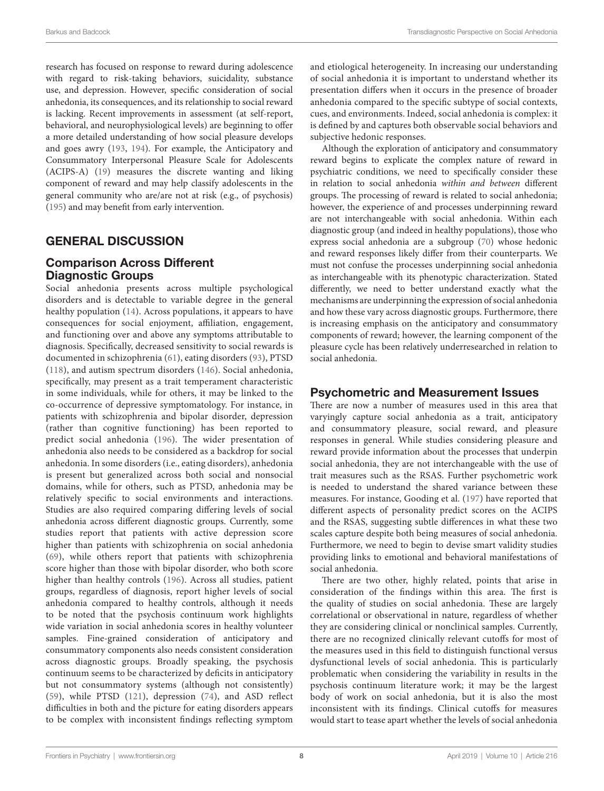research has focused on response to reward during adolescence with regard to risk-taking behaviors, suicidality, substance use, and depression. However, specific consideration of social anhedonia, its consequences, and its relationship to social reward is lacking. Recent improvements in assessment (at self-report, behavioral, and neurophysiological levels) are beginning to offer a more detailed understanding of how social pleasure develops and goes awry ([193](#page-13-36), [194\)](#page-14-0). For example, the Anticipatory and Consummatory Interpersonal Pleasure Scale for Adolescents (ACIPS-A) ([19\)](#page-9-24) measures the discrete wanting and liking component of reward and may help classify adolescents in the general community who are/are not at risk (e.g., of psychosis) [\(195](#page-14-1)) and may benefit from early intervention.

# GENERAL DISCUSSION

# Comparison Across Different Diagnostic Groups

Social anhedonia presents across multiple psychological disorders and is detectable to variable degree in the general healthy population [\(14\)](#page-9-8). Across populations, it appears to have consequences for social enjoyment, affiliation, engagement, and functioning over and above any symptoms attributable to diagnosis. Specifically, decreased sensitivity to social rewards is documented in schizophrenia [\(61\)](#page-10-27), eating disorders (93), PTSD [\(118](#page-12-6)), and autism spectrum disorders ([146\)](#page-12-27). Social anhedonia, specifically, may present as a trait temperament characteristic in some individuals, while for others, it may be linked to the co-occurrence of depressive symptomatology. For instance, in patients with schizophrenia and bipolar disorder, depression (rather than cognitive functioning) has been reported to predict social anhedonia [\(196](#page-14-2)). The wider presentation of anhedonia also needs to be considered as a backdrop for social anhedonia. In some disorders (i.e., eating disorders), anhedonia is present but generalized across both social and nonsocial domains, while for others, such as PTSD, anhedonia may be relatively specific to social environments and interactions. Studies are also required comparing differing levels of social anhedonia across different diagnostic groups. Currently, some studies report that patients with active depression score higher than patients with schizophrenia on social anhedonia [\(69\)](#page-10-34), while others report that patients with schizophrenia score higher than those with bipolar disorder, who both score higher than healthy controls [\(196](#page-14-2)). Across all studies, patient groups, regardless of diagnosis, report higher levels of social anhedonia compared to healthy controls, although it needs to be noted that the psychosis continuum work highlights wide variation in social anhedonia scores in healthy volunteer samples. Fine-grained consideration of anticipatory and consummatory components also needs consistent consideration across diagnostic groups. Broadly speaking, the psychosis continuum seems to be characterized by deficits in anticipatory but not consummatory systems (although not consistently) [\(59\)](#page-10-25), while PTSD ([121\)](#page-12-5), depression (74), and ASD reflect difficulties in both and the picture for eating disorders appears to be complex with inconsistent findings reflecting symptom

and etiological heterogeneity. In increasing our understanding of social anhedonia it is important to understand whether its presentation differs when it occurs in the presence of broader anhedonia compared to the specific subtype of social contexts, cues, and environments. Indeed, social anhedonia is complex: it is defined by and captures both observable social behaviors and subjective hedonic responses.

Although the exploration of anticipatory and consummatory reward begins to explicate the complex nature of reward in psychiatric conditions, we need to specifically consider these in relation to social anhedonia *within and between* different groups. The processing of reward is related to social anhedonia; however, the experience of and processes underpinning reward are not interchangeable with social anhedonia. Within each diagnostic group (and indeed in healthy populations), those who express social anhedonia are a subgroup (70) whose hedonic and reward responses likely differ from their counterparts. We must not confuse the processes underpinning social anhedonia as interchangeable with its phenotypic characterization. Stated differently, we need to better understand exactly what the mechanisms are underpinning the expression of social anhedonia and how these vary across diagnostic groups. Furthermore, there is increasing emphasis on the anticipatory and consummatory components of reward; however, the learning component of the pleasure cycle has been relatively underresearched in relation to social anhedonia.

## Psychometric and Measurement Issues

There are now a number of measures used in this area that varyingly capture social anhedonia as a trait, anticipatory and consummatory pleasure, social reward, and pleasure responses in general. While studies considering pleasure and reward provide information about the processes that underpin social anhedonia, they are not interchangeable with the use of trait measures such as the RSAS. Further psychometric work is needed to understand the shared variance between these measures. For instance, Gooding et al. [\(197](#page-14-3)) have reported that different aspects of personality predict scores on the ACIPS and the RSAS, suggesting subtle differences in what these two scales capture despite both being measures of social anhedonia. Furthermore, we need to begin to devise smart validity studies providing links to emotional and behavioral manifestations of social anhedonia.

There are two other, highly related, points that arise in consideration of the findings within this area. The first is the quality of studies on social anhedonia. These are largely correlational or observational in nature, regardless of whether they are considering clinical or nonclinical samples. Currently, there are no recognized clinically relevant cutoffs for most of the measures used in this field to distinguish functional versus dysfunctional levels of social anhedonia. This is particularly problematic when considering the variability in results in the psychosis continuum literature work; it may be the largest body of work on social anhedonia, but it is also the most inconsistent with its findings. Clinical cutoffs for measures would start to tease apart whether the levels of social anhedonia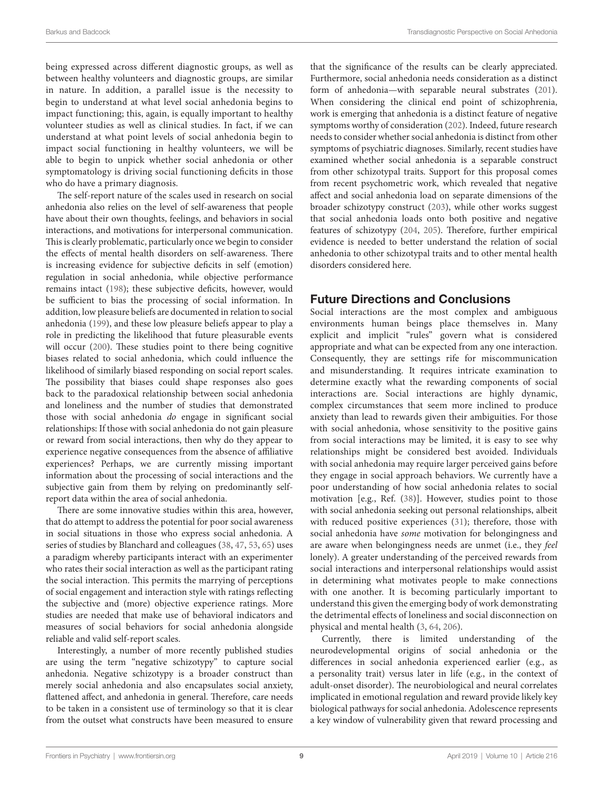being expressed across different diagnostic groups, as well as between healthy volunteers and diagnostic groups, are similar in nature. In addition, a parallel issue is the necessity to begin to understand at what level social anhedonia begins to impact functioning; this, again, is equally important to healthy volunteer studies as well as clinical studies. In fact, if we can understand at what point levels of social anhedonia begin to impact social functioning in healthy volunteers, we will be able to begin to unpick whether social anhedonia or other symptomatology is driving social functioning deficits in those who do have a primary diagnosis.

The self-report nature of the scales used in research on social anhedonia also relies on the level of self-awareness that people have about their own thoughts, feelings, and behaviors in social interactions, and motivations for interpersonal communication. This is clearly problematic, particularly once we begin to consider the effects of mental health disorders on self-awareness. There is increasing evidence for subjective deficits in self (emotion) regulation in social anhedonia, while objective performance remains intact ([198](#page-14-4)); these subjective deficits, however, would be sufficient to bias the processing of social information. In addition, low pleasure beliefs are documented in relation to social anhedonia ([199\)](#page-14-5), and these low pleasure beliefs appear to play a role in predicting the likelihood that future pleasurable events will occur ([200](#page-14-6)). These studies point to there being cognitive biases related to social anhedonia, which could influence the likelihood of similarly biased responding on social report scales. The possibility that biases could shape responses also goes back to the paradoxical relationship between social anhedonia and loneliness and the number of studies that demonstrated those with social anhedonia *do* engage in significant social relationships: If those with social anhedonia do not gain pleasure or reward from social interactions, then why do they appear to experience negative consequences from the absence of affiliative experiences? Perhaps, we are currently missing important information about the processing of social interactions and the subjective gain from them by relying on predominantly selfreport data within the area of social anhedonia.

There are some innovative studies within this area, however, that do attempt to address the potential for poor social awareness in social situations in those who express social anhedonia. A series of studies by Blanchard and colleagues [\(38,](#page-10-5) [47,](#page-10-14) [53](#page-10-35), [65](#page-10-30)) uses a paradigm whereby participants interact with an experimenter who rates their social interaction as well as the participant rating the social interaction. This permits the marrying of perceptions of social engagement and interaction style with ratings reflecting the subjective and (more) objective experience ratings. More studies are needed that make use of behavioral indicators and measures of social behaviors for social anhedonia alongside reliable and valid self-report scales.

Interestingly, a number of more recently published studies are using the term "negative schizotypy" to capture social anhedonia. Negative schizotypy is a broader construct than merely social anhedonia and also encapsulates social anxiety, flattened affect, and anhedonia in general. Therefore, care needs to be taken in a consistent use of terminology so that it is clear from the outset what constructs have been measured to ensure

that the significance of the results can be clearly appreciated. Furthermore, social anhedonia needs consideration as a distinct form of anhedonia—with separable neural substrates ([201](#page-14-7)). When considering the clinical end point of schizophrenia, work is emerging that anhedonia is a distinct feature of negative symptoms worthy of consideration ([202\)](#page-14-8). Indeed, future research needs to consider whether social anhedonia is distinct from other symptoms of psychiatric diagnoses. Similarly, recent studies have examined whether social anhedonia is a separable construct from other schizotypal traits. Support for this proposal comes from recent psychometric work, which revealed that negative affect and social anhedonia load on separate dimensions of the broader schizotypy construct [\(203](#page-14-9)), while other works suggest that social anhedonia loads onto both positive and negative features of schizotypy ([204,](#page-14-10) [205](#page-14-11)). Therefore, further empirical evidence is needed to better understand the relation of social anhedonia to other schizotypal traits and to other mental health disorders considered here.

# Future Directions and Conclusions

Social interactions are the most complex and ambiguous environments human beings place themselves in. Many explicit and implicit "rules" govern what is considered appropriate and what can be expected from any one interaction. Consequently, they are settings rife for miscommunication and misunderstanding. It requires intricate examination to determine exactly what the rewarding components of social interactions are. Social interactions are highly dynamic, complex circumstances that seem more inclined to produce anxiety than lead to rewards given their ambiguities. For those with social anhedonia, whose sensitivity to the positive gains from social interactions may be limited, it is easy to see why relationships might be considered best avoided. Individuals with social anhedonia may require larger perceived gains before they engage in social approach behaviors. We currently have a poor understanding of how social anhedonia relates to social motivation [e.g., Ref. [\(38](#page-10-5))]. However, studies point to those with social anhedonia seeking out personal relationships, albeit with reduced positive experiences [\(31](#page-9-18)); therefore, those with social anhedonia have *some* motivation for belongingness and are aware when belongingness needs are unmet (i.e., they *feel* lonely). A greater understanding of the perceived rewards from social interactions and interpersonal relationships would assist in determining what motivates people to make connections with one another. It is becoming particularly important to understand this given the emerging body of work demonstrating the detrimental effects of loneliness and social disconnection on physical and mental health [\(3,](#page-9-2) [64](#page-10-29), [206\)](#page-14-12).

Currently, there is limited understanding of the neurodevelopmental origins of social anhedonia or the differences in social anhedonia experienced earlier (e.g., as a personality trait) versus later in life (e.g., in the context of adult-onset disorder). The neurobiological and neural correlates implicated in emotional regulation and reward provide likely key biological pathways for social anhedonia. Adolescence represents a key window of vulnerability given that reward processing and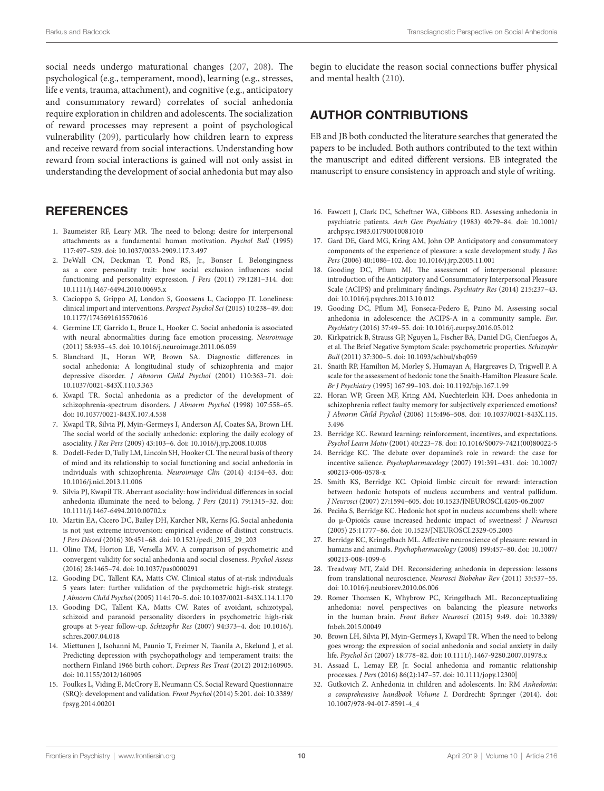social needs undergo maturational changes [\(207,](#page-14-13) [208\)](#page-14-14). The psychological (e.g., temperament, mood), learning (e.g., stresses, life e vents, trauma, attachment), and cognitive (e.g., anticipatory and consummatory reward) correlates of social anhedonia require exploration in children and adolescents. The socialization of reward processes may represent a point of psychological vulnerability [\(209\)](#page-14-15), particularly how children learn to express and receive reward from social interactions. Understanding how reward from social interactions is gained will not only assist in understanding the development of social anhedonia but may also

## **REFERENCES**

- <span id="page-9-0"></span>1. Baumeister RF, Leary MR. The need to belong: desire for interpersonal attachments as a fundamental human motivation. *Psychol Bull* (1995) 117:497–529. doi: [10.1037/0033-2909.117.3.497](https://doi.org/10.1037/0033-2909.117.3.497)
- <span id="page-9-1"></span>2. DeWall CN, Deckman T, Pond RS, Jr., Bonser I. Belongingness as a core personality trait: how social exclusion influences social functioning and personality expression. *J Pers* (2011) 79:1281–314. doi: [10.1111/j.1467-6494.2010.00695.x](https://doi.org/10.1111/j.1467-6494.2010.00695.x)
- <span id="page-9-2"></span>3. Cacioppo S, Grippo AJ, London S, Goossens L, Cacioppo JT. Loneliness: clinical import and interventions. *Perspect Psychol Sci* (2015) 10:238–49. doi: [10.1177/1745691615570616](https://doi.org/10.1177/1745691615570616)
- <span id="page-9-3"></span>4. Germine LT, Garrido L, Bruce L, Hooker C. Social anhedonia is associated with neural abnormalities during face emotion processing. *Neuroimage* (2011) 58:935–45. doi: [10.1016/j.neuroimage.2011.06.059](https://doi.org/10.1016/j.neuroimage.2011.06.059)
- <span id="page-9-27"></span>5. Blanchard JL, Horan WP, Brown SA. Diagnostic differences in social anhedonia: A longitudinal study of schizophrenia and major depressive disorder. *J Abnorm Child Psychol* (2001) 110:363–71. doi: [10.1037/0021-843X.110.3.363](https://doi.org/10.1037/0021-843X.110.3.363)
- 6. Kwapil TR. Social anhedonia as a predictor of the development of schizophrenia-spectrum disorders. *J Abnorm Psychol* (1998) 107:558–65. doi: [10.1037/0021-843X.107.4.558](https://doi.org/10.1037/0021-843X.107.4.558)
- 7. Kwapil TR, Silvia PJ, Myin-Germeys I, Anderson AJ, Coates SA, Brown LH. The social world of the socially anhedonic: exploring the daily ecology of asociality. *J Res Pers* (2009) 43:103–6. doi: [10.1016/j.jrp.2008.10.008](https://doi.org/10.1016/j.jrp.2008.10.008)
- 8. Dodell-Feder D, Tully LM, Lincoln SH, Hooker CI. The neural basis of theory of mind and its relationship to social functioning and social anhedonia in individuals with schizophrenia. *Neuroimage Clin* (2014) 4:154–63. doi: [10.1016/j.nicl.2013.11.006](https://doi.org/10.1016/j.nicl.2013.11.006)
- 9. Silvia PJ, Kwapil TR. Aberrant asociality: how individual differences in social anhedonia illuminate the need to belong. *J Pers* (2011) 79:1315–32. doi: [10.1111/j.1467-6494.2010.00702.x](https://doi.org/10.1111/j.1467-6494.2010.00702.x)
- <span id="page-9-4"></span>10. Martin EA, Cicero DC, Bailey DH, Karcher NR, Kerns JG. Social anhedonia is not just extreme introversion: empirical evidence of distinct constructs. *J Pers Disord* (2016) 30:451–68. doi: [10.1521/pedi\\_2015\\_29\\_203](https://doi.org/10.1521/pedi_2015_29_203)
- <span id="page-9-5"></span>11. Olino TM, Horton LE, Versella MV. A comparison of psychometric and convergent validity for social anhedonia and social closeness. *Psychol Assess* (2016) 28:1465–74. doi: [10.1037/pas0000291](https://doi.org/10.1037/pas0000291)
- <span id="page-9-6"></span>12. Gooding DC, Tallent KA, Matts CW. Clinical status of at-risk individuals 5 years later: further validation of the psychometric high-risk strategy. *J Abnorm Child Psychol* (2005) 114:170–5. doi: [10.1037/0021-843X.114.1.170](https://doi.org/10.1037/0021-843X.114.1.170)
- <span id="page-9-7"></span>13. Gooding DC, Tallent KA, Matts CW. Rates of avoidant, schizotypal, schizoid and paranoid personality disorders in psychometric high-risk groups at 5-year follow-up. *Schizophr Res* (2007) 94:373–4. doi: [10.1016/j.](https://doi.org/10.1016/j.schres.2007.04.018) [schres.2007.04.018](https://doi.org/10.1016/j.schres.2007.04.018)
- <span id="page-9-8"></span>14. Miettunen J, Isohanni M, Paunio T, Freimer N, Taanila A, Ekelund J, et al. Predicting depression with psychopathology and temperament traits: the northern Finland 1966 birth cohort. *Depress Res Treat* (2012) 2012:160905. doi: [10.1155/2012/160905](https://doi.org/10.1155/2012/160905)
- <span id="page-9-20"></span>15. Foulkes L, Viding E, McCrory E, Neumann CS. Social Reward Questionnaire (SRQ): development and validation. *Front Psychol* (2014) 5:201. doi: [10.3389/](https://doi.org/10.3389/fpsyg.2014.00201) [fpsyg.2014.00201](https://doi.org/10.3389/fpsyg.2014.00201)

begin to elucidate the reason social connections buffer physical and mental health ([210\)](#page-14-16).

# AUTHOR CONTRIBUTIONS

EB and JB both conducted the literature searches that generated the papers to be included. Both authors contributed to the text within the manuscript and edited different versions. EB integrated the manuscript to ensure consistency in approach and style of writing.

- <span id="page-9-21"></span>16. Fawcett J, Clark DC, Scheftner WA, Gibbons RD. Assessing anhedonia in psychiatric patients. *Arch Gen Psychiatry* (1983) 40:79–84. doi: [10.1001/](https://doi.org/10.1001/archpsyc.1983.01790010081010) [archpsyc.1983.01790010081010](https://doi.org/10.1001/archpsyc.1983.01790010081010)
- <span id="page-9-22"></span>17. Gard DE, Gard MG, Kring AM, John OP. Anticipatory and consummatory components of the experience of pleasure: a scale development study. *J Res Pers* (2006) 40:1086–102. doi: [10.1016/j.jrp.2005.11.001](https://doi.org/10.1016/j.jrp.2005.11.001)
- <span id="page-9-23"></span>18. Gooding DC, Pflum MJ. The assessment of interpersonal pleasure: introduction of the Anticipatory and Consummatory Interpersonal Pleasure Scale (ACIPS) and preliminary findings. *Psychiatry Res* (2014) 215:237–43. doi: [10.1016/j.psychres.2013.10.012](https://doi.org/10.1016/j.psychres.2013.10.012)
- <span id="page-9-24"></span>19. Gooding DC, Pflum MJ, Fonseca-Pedero E, Paino M. Assessing social anhedonia in adolescence: the ACIPS-A in a community sample. *Eur. Psychiatry* (2016) 37:49–55. doi: [10.1016/j.eurpsy.2016.05.012](https://doi.org/10.1016/j.eurpsy.2016.05.012)
- <span id="page-9-25"></span>20. Kirkpatrick B, Strauss GP, Nguyen L, Fischer BA, Daniel DG, Cienfuegos A, et al. The Brief Negative Symptom Scale: psychometric properties. *Schizophr Bull* (2011) 37:300–5. doi: [10.1093/schbul/sbq059](https://doi.org/10.1093/schbul/sbq059)
- <span id="page-9-26"></span>21. Snaith RP, Hamilton M, Morley S, Humayan A, Hargreaves D, Trigwell P. A scale for the assessment of hedonic tone the Snaith-Hamilton Pleasure Scale. *Br J Psychiatry* (1995) 167:99–103. doi: [10.1192/bjp.167.1.99](https://doi.org/10.1192/bjp.167.1.99)
- <span id="page-9-9"></span>22. Horan WP, Green MF, Kring AM, Nuechterlein KH. Does anhedonia in schizophrenia reflect faulty memory for subjectively experienced emotions? *J Abnorm Child Psychol* (2006) 115:496–508. doi: [10.1037/0021-843X.115.](https://doi.org/10.1037/0021-843X.115.3.496) [3.496](https://doi.org/10.1037/0021-843X.115.3.496)
- <span id="page-9-10"></span>23. Berridge KC. Reward learning: reinforcement, incentives, and expectations. *Psychol Learn Motiv* (2001) 40:223–78. doi: [10.1016/S0079-7421\(00\)80022-5](https://doi.org/10.1016/S0079-7421(00)80022-5)
- <span id="page-9-11"></span>24. Berridge KC. The debate over dopamine's role in reward: the case for incentive salience. *Psychopharmacology* (2007) 191:391–431. doi: [10.1007/](https://doi.org/10.1007/s00213-006-0578-x) [s00213-006-0578-x](https://doi.org/10.1007/s00213-006-0578-x)
- <span id="page-9-12"></span>25. Smith KS, Berridge KC. Opioid limbic circuit for reward: interaction between hedonic hotspots of nucleus accumbens and ventral pallidum. *J Neurosci* (2007) 27:1594–605. doi: [10.1523/JNEUROSCI.4205-06.2007](https://doi.org/10.1523/JNEUROSCI.4205-06.2007)
- <span id="page-9-13"></span>26. Peciña S, Berridge KC. Hedonic hot spot in nucleus accumbens shell: where do μ-Opioids cause increased hedonic impact of sweetness? *J Neurosci* (2005) 25:11777–86. doi: [10.1523/JNEUROSCI.2329-05.2005](https://doi.org/10.1523/JNEUROSCI.2329-05.2005)
- <span id="page-9-14"></span>27. Berridge KC, Kringelbach ML. Affective neuroscience of pleasure: reward in humans and animals. *Psychopharmacology* (2008) 199:457–80. doi: [10.1007/](https://doi.org/10.1007/s00213-008-1099-6) [s00213-008-1099-6](https://doi.org/10.1007/s00213-008-1099-6)
- <span id="page-9-15"></span>28. Treadway MT, Zald DH. Reconsidering anhedonia in depression: lessons from translational neuroscience. *Neurosci Biobehav Rev* (2011) 35:537–55. doi: [10.1016/j.neubiorev.2010.06.006](https://doi.org/10.1016/j.neubiorev.2010.06.006)
- <span id="page-9-16"></span>29. Romer Thomsen K, Whybrow PC, Kringelbach ML. Reconceptualizing anhedonia: novel perspectives on balancing the pleasure networks in the human brain. *Front Behav Neurosci* (2015) 9:49. doi: [10.3389/](https://doi.org/10.3389/fnbeh.2015.00049) [fnbeh.2015.00049](https://doi.org/10.3389/fnbeh.2015.00049)
- <span id="page-9-17"></span>30. Brown LH, Silvia PJ, Myin-Germeys I, Kwapil TR. When the need to belong goes wrong: the expression of social anhedonia and social anxiety in daily life. *Psychol Sci* (2007) 18:778–82. doi: [10.1111/j.1467-9280.2007.01978.x](https://doi.org/10.1111/j.1467-9280.2007.01978.x)
- <span id="page-9-18"></span>31. Assaad L, Lemay EP, Jr. Social anhedonia and romantic relationship processes. *J Pers* (2016) 86(2):147–57. [doi: 10.1111/jopy.12300|](https://doi.org/10.1111/jopy.12300|)
- <span id="page-9-19"></span>32. Gutkovich Z. Anhedonia in children and adolescents. In: RM *Anhedonia: a comprehensive handbook Volume I*. Dordrecht: Springer (2014). doi: [10.1007/978-94-017-8591-4\\_4](https://doi.org/10.1007/978-94-017-8591-4_4)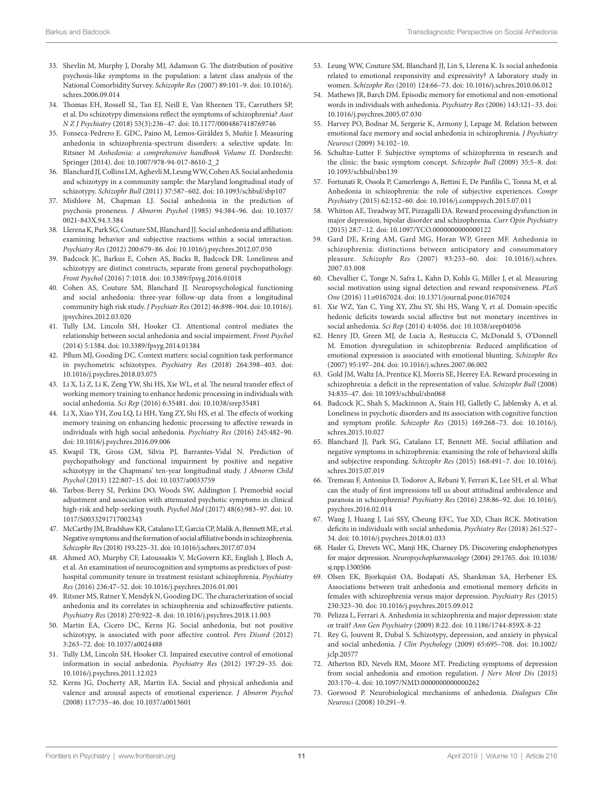- <span id="page-10-0"></span>33. Shevlin M, Murphy J, Dorahy MJ, Adamson G. The distribution of positive psychosis-like symptoms in the population: a latent class analysis of the National Comorbidity Survey. *Schizophr Res* (2007) 89:101–9. doi: [10.1016/j.](https://doi.org/10.1016/j.schres.2006.09.014) [schres.2006.09.014](https://doi.org/10.1016/j.schres.2006.09.014)
- <span id="page-10-1"></span>34. Thomas EH, Rossell SL, Tan EJ, Neill E, Van Rheenen TE, Carruthers SP, et al. Do schizotypy dimensions reflect the symptoms of schizophrenia? *Aust N Z J Psychiatry* (2018) 53(3):236–47. [doi: 10.1177/0004867418769746](https://doi.org/10.1177/0004867418769746)
- <span id="page-10-2"></span>35. Fonseca-Pedrero E. GDC, Paino M, Lemos-Giráldez S, Muñiz J. Measuring anhedonia in schizophrenia-spectrum disorders: a selective update. In: Ritsner M *Anhedonia: a comprehensive handbook Volume II*. Dordrecht: Springer (2014). doi: [10.1007/978-94-017-8610-2\\_2](https://doi.org/10.1007/978-94-017-8610-2_2)
- <span id="page-10-3"></span>36. Blanchard JJ, Collins LM, Aghevli M, Leung WW, Cohen AS. Social anhedonia and schizotypy in a community sample: the Maryland longitudinal study of schizotypy. *Schizophr Bull* (2011) 37:587–602. doi: [10.1093/schbul/sbp107](https://doi.org/10.1093/schbul/sbp107)
- <span id="page-10-4"></span>37. Mishlove M, Chapman LJ. Social anhedonia in the prediction of psychosis proneness. *J Abnorm Psychol* (1985) 94:384–96. doi: [10.1037/](https://doi.org/10.1037/0021-843X.94.3.384) [0021-843X.94.3.384](https://doi.org/10.1037/0021-843X.94.3.384)
- <span id="page-10-5"></span>38. Llerena K, Park SG, Couture SM, Blanchard JJ. Social anhedonia and affiliation: examining behavior and subjective reactions within a social interaction. *Psychiatry Res* (2012) 200:679–86. doi: [10.1016/j.psychres.2012.07.050](https://doi.org/10.1016/j.psychres.2012.07.050)
- <span id="page-10-6"></span>39. Badcock JC, Barkus E, Cohen AS, Bucks R, Badcock DR. Loneliness and schizotypy are distinct constructs, separate from general psychopathology. *Front Psychol* (2016) 7:1018. doi: [10.3389/fpsyg.2016.01018](https://doi.org/10.3389/fpsyg.2016.01018)
- <span id="page-10-7"></span>40. Cohen AS, Couture SM, Blanchard JJ. Neuropsychological functioning and social anhedonia: three-year follow-up data from a longitudinal community high risk study. *J Psychiatr Res* (2012) 46:898–904. doi: [10.1016/j.](https://doi.org/10.1016/j.jpsychires.2012.03.020) [jpsychires.2012.03.020](https://doi.org/10.1016/j.jpsychires.2012.03.020)
- <span id="page-10-8"></span>41. Tully LM, Lincoln SH, Hooker CI. Attentional control mediates the relationship between social anhedonia and social impairment. *Front Psychol* (2014) 5:1384. doi: [10.3389/fpsyg.2014.01384](https://doi.org/10.3389/fpsyg.2014.01384)
- <span id="page-10-9"></span>42. Pflum MJ, Gooding DC. Context matters: social cognition task performance in psychometric schizotypes. *Psychiatry Res* (2018) 264:398–403. doi: [10.1016/j.psychres.2018.03.075](https://doi.org/10.1016/j.psychres.2018.03.075)
- <span id="page-10-10"></span>43. Li X, Li Z, Li K, Zeng YW, Shi HS, Xie WL, et al. The neural transfer effect of working memory training to enhance hedonic processing in individuals with social anhedonia. *Sci Rep* (2016) 6:35481. doi: [10.1038/srep35481](https://doi.org/10.1038/srep35481)
- <span id="page-10-11"></span>44. Li X, Xiao YH, Zou LQ, Li HH, Yang ZY, Shi HS, et al. The effects of working memory training on enhancing hedonic processing to affective rewards in individuals with high social anhedonia. *Psychiatry Res* (2016) 245:482–90. doi: [10.1016/j.psychres.2016.09.006](https://doi.org/10.1016/j.psychres.2016.09.006)
- <span id="page-10-12"></span>45. Kwapil TR, Gross GM, Silvia PJ, Barrantes-Vidal N. Prediction of psychopathology and functional impairment by positive and negative schizotypy in the Chapmans' ten-year longitudinal study. *J Abnorm Child Psychol* (2013) 122:807–15. doi: [10.1037/a0033759](https://doi.org/10.1037/a0033759)
- <span id="page-10-13"></span>46. Tarbox-Berry SI, Perkins DO, Woods SW, Addington J. Premorbid social adjustment and association with attenuated psychotic symptoms in clinical high-risk and help-seeking youth. *Psychol Med* (2017) 48(6):983–97. [doi: 10.](https://doi.org/10.1017/S0033291717002343) [1017/S0033291717002343](https://doi.org/10.1017/S0033291717002343)
- <span id="page-10-14"></span>47. McCarthy JM, Bradshaw KR, Catalano LT, Garcia CP, Malik A, Bennett ME, et al. Negative symptoms and the formation of social affiliative bonds in schizophrenia. *Schizophr Res* (2018) 193:225–31. doi: [10.1016/j.schres.2017.07.034](https://doi.org/10.1016/j.schres.2017.07.034)
- <span id="page-10-15"></span>48. Ahmed AO, Murphy CF, Latoussakis V, McGovern KE, English J, Bloch A, et al. An examination of neurocognition and symptoms as predictors of posthospital community tenure in treatment resistant schizophrenia. *Psychiatry Res* (2016) 236:47–52. doi: [10.1016/j.psychres.2016.01.001](https://doi.org/10.1016/j.psychres.2016.01.001)
- <span id="page-10-16"></span>49. Ritsner MS, Ratner Y, Mendyk N, Gooding DC. The characterization of social anhedonia and its correlates in schizophrenia and schizoaffective patients. *Psychiatry Res* (2018) 270:922–8. doi: [10.1016/j.psychres.2018.11.003](https://doi.org/10.1016/j.psychres.2018.11.003)
- <span id="page-10-17"></span>50. Martin EA, Cicero DC, Kerns JG. Social anhedonia, but not positive schizotypy, is associated with poor affective control. *Pers Disord* (2012) 3:263–72. doi: [10.1037/a0024488](https://doi.org/10.1037/a0024488)
- <span id="page-10-18"></span>51. Tully LM, Lincoln SH, Hooker CI. Impaired executive control of emotional information in social anhedonia. *Psychiatry Res* (2012) 197:29–35. doi: [10.1016/j.psychres.2011.12.023](https://doi.org/10.1016/j.psychres.2011.12.023)
- <span id="page-10-19"></span>52. Kerns JG, Docherty AR, Martin EA. Social and physical anhedonia and valence and arousal aspects of emotional experience. *J Abnorm Psychol* (2008) 117:735–46. doi: [10.1037/a0013601](https://doi.org/10.1037/a0013601)
- <span id="page-10-35"></span>53. Leung WW, Couture SM, Blanchard JJ, Lin S, Llerena K. Is social anhedonia related to emotional responsivity and expressivity? A laboratory study in women. *Schizophr Res* (2010) 124:66–73. doi: [10.1016/j.schres.2010.06.012](https://doi.org/10.1016/j.schres.2010.06.012)
- <span id="page-10-20"></span>54. Mathews JR, Barch DM. Episodic memory for emotional and non-emotional words in individuals with anhedonia. *Psychiatry Res* (2006) 143:121–33. doi: [10.1016/j.psychres.2005.07.030](https://doi.org/10.1016/j.psychres.2005.07.030)
- <span id="page-10-21"></span>55. Harvey PO, Bodnar M, Sergerie K, Armony J, Lepage M. Relation between emotional face memory and social anhedonia in schizophrenia. *J Psychiatry Neurosci* (2009) 34:102–10.
- <span id="page-10-22"></span>56. Schultze-Lutter F. Subjective symptoms of schizophrenia in research and the clinic: the basic symptom concept. *Schizophr Bull* (2009) 35:5–8. doi: [10.1093/schbul/sbn139](https://doi.org/10.1093/schbul/sbn139)
- <span id="page-10-23"></span>57. Fortunati R, Ossola P, Camerlengo A, Bettini E, De Panfilis C, Tonna M, et al. Anhedonia in schizophrenia: the role of subjective experiences. *Compr Psychiatry* (2015) 62:152–60. doi: [10.1016/j.comppsych.2015.07.011](https://doi.org/10.1016/j.comppsych.2015.07.011)
- <span id="page-10-24"></span>58. Whitton AE, Treadway MT, Pizzagalli DA. Reward processing dysfunction in major depression, bipolar disorder and schizophrenia. *Curr Opin Psychiatry* (2015) 28:7–12. doi: [10.1097/YCO.0000000000000122](https://doi.org/10.1097/YCO.0000000000000122)
- <span id="page-10-25"></span>59. Gard DE, Kring AM, Gard MG, Horan WP, Green MF. Anhedonia in schizophrenia: distinctions between anticipatory and consummatory pleasure. *Schizophr Res* (2007) 93:253–60. doi: [10.1016/j.schres.](https://doi.org/10.1016/j.schres.2007.03.008) [2007.03.008](https://doi.org/10.1016/j.schres.2007.03.008)
- <span id="page-10-26"></span>60. Chevallier C, Tonge N, Safra L, Kahn D, Kohls G, Miller J, et al. Measuring social motivation using signal detection and reward responsiveness. *PLoS One* (2016) 11:e0167024. doi: [10.1371/journal.pone.0167024](https://doi.org/10.1371/journal.pone.0167024)
- <span id="page-10-27"></span>61. Xie WZ, Yan C, Ying XY, Zhu SY, Shi HS, Wang Y, et al. Domain-specific hedonic deficits towards social affective but not monetary incentives in social anhedonia. *Sci Rep* (2014) 4:4056. doi: [10.1038/srep04056](https://doi.org/10.1038/srep04056)
- 62. Henry JD, Green MJ, de Lucia A, Restuccia C, McDonald S, O'Donnell M. Emotion dysregulation in schizophrenia: Reduced amplification of emotional expression is associated with emotional blunting. *Schizophr Res* (2007) 95:197–204. doi: [10.1016/j.schres.2007.06.002](https://doi.org/10.1016/j.schres.2007.06.002)
- <span id="page-10-28"></span>63. Gold JM, Waltz JA, Prentice KJ, Morris SE, Heerey EA. Reward processing in schizophrenia: a deficit in the representation of value. *Schizophr Bull* (2008) 34:835–47. doi: [10.1093/schbul/sbn068](https://doi.org/10.1093/schbul/sbn068)
- <span id="page-10-29"></span>64. Badcock JC, Shah S, Mackinnon A, Stain HJ, Galletly C, Jablensky A, et al. Loneliness in psychotic disorders and its association with cognitive function and symptom profile. *Schizophr Res* (2015) 169:268–73. doi: [10.1016/j.](https://doi.org/10.1016/j.schres.2015.10.027) [schres.2015.10.027](https://doi.org/10.1016/j.schres.2015.10.027)
- <span id="page-10-30"></span>65. Blanchard JJ, Park SG, Catalano LT, Bennett ME. Social affiliation and negative symptoms in schizophrenia: examining the role of behavioral skills and subjective responding. *Schizophr Res* (2015) 168:491–7. doi: [10.1016/j.](https://doi.org/10.1016/j.schres.2015.07.019) [schres.2015.07.019](https://doi.org/10.1016/j.schres.2015.07.019)
- <span id="page-10-31"></span>66. Tremeau F, Antonius D, Todorov A, Rebani Y, Ferrari K, Lee SH, et al. What can the study of first impressions tell us about attitudinal ambivalence and paranoia in schizophrenia? *Psychiatry Res* (2016) 238:86–92. doi: [10.1016/j.](https://doi.org/10.1016/j.psychres.2016.02.014) [psychres.2016.02.014](https://doi.org/10.1016/j.psychres.2016.02.014)
- <span id="page-10-32"></span>67. Wang J, Huang J, Lui SSY, Cheung EFC, Yue XD, Chan RCK. Motivation deficits in individuals with social anhedonia. *Psychiatry Res* (2018) 261:527– 34. doi: [10.1016/j.psychres.2018.01.033](https://doi.org/10.1016/j.psychres.2018.01.033)
- <span id="page-10-33"></span>68. Hasler G, Drevets WC, Manji HK, Charney DS. Discovering endophenotypes for major depression. *Neuropsychopharmacology* (2004) 29:1765. doi: [10.1038/](https://doi.org/10.1038/sj.npp.1300506) si.npp.1300506
- <span id="page-10-34"></span>69. Olsen EK, Bjorkquist OA, Bodapati AS, Shankman SA, Herbener ES. Associations between trait anhedonia and emotional memory deficits in females with schizophrenia versus major depression. *Psychiatry Res* (2015) 230:323–30. doi: [10.1016/j.psychres.2015.09.012](https://doi.org/10.1016/j.psychres.2015.09.012)
- 70. Pelizza L, Ferrari A. Anhedonia in schizophrenia and major depression: state or trait? *Ann Gen Psychiatry* (2009) 8:22. doi: [10.1186/1744-859X-8-22](https://doi.org/10.1186/1744-859X-8-22)
- 71. Rey G, Jouvent R, Dubal S. Schizotypy, depression, and anxiety in physical and social anhedonia. *J Clin Psychology* (2009) 65:695–708. doi: [10.1002/](https://doi.org/10.1002/jclp.20577) [jclp.20577](https://doi.org/10.1002/jclp.20577)
- 72. Atherton BD, Nevels RM, Moore MT. Predicting symptoms of depression from social anhedonia and emotion regulation. *J Nerv Ment Dis* (2015) 203:170–4. doi: [10.1097/NMD.0000000000000262](https://doi.org/10.1097/NMD.0000000000000262)
- 73. Gorwood P. Neurobiological mechanisms of anhedonia. *Dialogues Clin Neurosci* (2008) 10:291–9.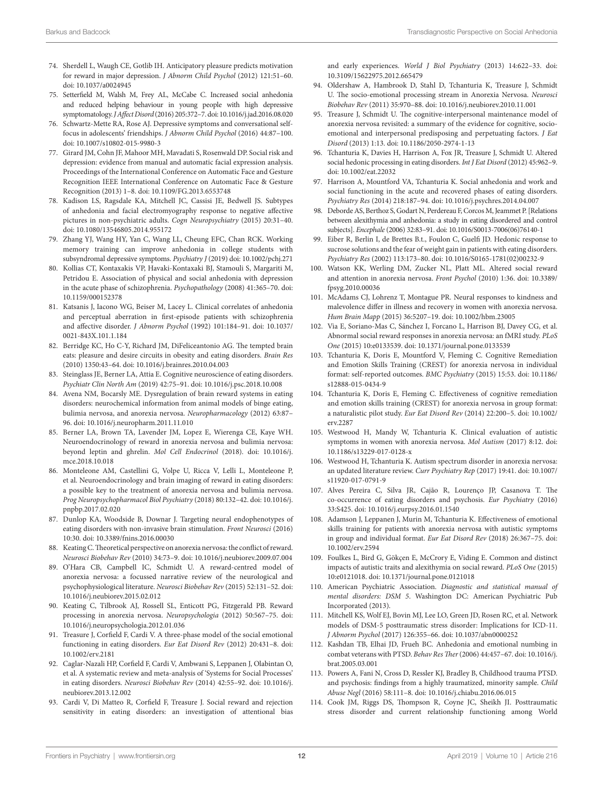- 74. Sherdell L, Waugh CE, Gotlib IH. Anticipatory pleasure predicts motivation for reward in major depression. *J Abnorm Child Psychol* (2012) 121:51–60. doi: [10.1037/a0024945](https://doi.org/10.1037/a0024945)
- 75. Setterfield M, Walsh M, Frey AL, McCabe C. Increased social anhedonia and reduced helping behaviour in young people with high depressive symptomatology. *J Affect Disord* (2016) 205:372–7. doi: [10.1016/j.jad.2016.08.020](https://doi.org/10.1016/j.jad.2016.08.020)
- 76. Schwartz-Mette RA, Rose AJ. Depressive symptoms and conversational selffocus in adolescents' friendships. *J Abnorm Child Psychol* (2016) 44:87–100. doi: [10.1007/s10802-015-9980-3](https://doi.org/10.1007/s10802-015-9980-3)
- 77. Girard JM, Cohn JF, Mahoor MH, Mavadati S, Rosenwald DP. Social risk and depression: evidence from manual and automatic facial expression analysis. Proceedings of the International Conference on Automatic Face and Gesture Recognition IEEE International Conference on Automatic Face & Gesture Recognition (2013) 1–8. doi: [10.1109/FG.2013.6553748](https://doi.org/10.1109/FG.2013.6553748)
- 78. Kadison LS, Ragsdale KA, Mitchell JC, Cassisi JE, Bedwell JS. Subtypes of anhedonia and facial electromyography response to negative affective pictures in non-psychiatric adults. *Cogn Neuropsychiatry* (2015) 20:31–40. doi: [10.1080/13546805.2014.955172](https://doi.org/10.1080/13546805.2014.955172)
- 79. Zhang YJ, Wang HY, Yan C, Wang LL, Cheung EFC, Chan RCK. Working memory training can improve anhedonia in college students with subsyndromal depressive symptoms. *Psychiatry J* (2019) [doi: 10.1002/pchj.271](https://doi.org/10.1002/pchj.271)
- 80. Kollias CT, Kontaxakis VP, Havaki-Kontaxaki BJ, Stamouli S, Margariti M, Petridou E. Association of physical and social anhedonia with depression in the acute phase of schizophrenia. *Psychopathology* (2008) 41:365–70. doi: [10.1159/000152378](https://doi.org/10.1159/000152378)
- 81. Katsanis J, Iacono WG, Beiser M, Lacey L. Clinical correlates of anhedonia and perceptual aberration in first-episode patients with schizophrenia and affective disorder. *J Abnorm Psychol* (1992) 101:184–91. doi: [10.1037/](https://doi.org/10.1037/0021-843X.101.1.184) [0021-843X.101.1.184](https://doi.org/10.1037/0021-843X.101.1.184)
- 82. Berridge KC, Ho C-Y, Richard JM, DiFeliceantonio AG. The tempted brain eats: pleasure and desire circuits in obesity and eating disorders. *Brain Res* (2010) 1350:43–64. doi: [10.1016/j.brainres.2010.04.003](https://doi.org/10.1016/j.brainres.2010.04.003)
- 83. Steinglass JE, Berner LA, Attia E. Cognitive neuroscience of eating disorders. *Psychiatr Clin North Am* (2019) 42:75–91. doi: [10.1016/j.psc.2018.10.008](https://doi.org/10.1016/j.psc.2018.10.008)
- 84. Avena NM, Bocarsly ME. Dysregulation of brain reward systems in eating disorders: neurochemical information from animal models of binge eating, bulimia nervosa, and anorexia nervosa. *Neuropharmacology* (2012) 63:87– 96. doi: [10.1016/j.neuropharm.2011.11.010](https://doi.org/10.1016/j.neuropharm.2011.11.010)
- 85. Berner LA, Brown TA, Lavender JM, Lopez E, Wierenga CE, Kaye WH. Neuroendocrinology of reward in anorexia nervosa and bulimia nervosa: beyond leptin and ghrelin. *Mol Cell Endocrinol* (2018). doi: [10.1016/j.](https://doi.org/10.1016/j.mce.2018.10.018) [mce.2018.10.018](https://doi.org/10.1016/j.mce.2018.10.018)
- 86. Monteleone AM, Castellini G, Volpe U, Ricca V, Lelli L, Monteleone P, et al. Neuroendocrinology and brain imaging of reward in eating disorders: a possible key to the treatment of anorexia nervosa and bulimia nervosa. *Prog Neuropsychopharmacol Biol Psychiatry* (2018) 80:132–42. doi: [10.1016/j.](https://doi.org/10.1016/j.pnpbp.2017.02.020) [pnpbp.2017.02.020](https://doi.org/10.1016/j.pnpbp.2017.02.020)
- 87. Dunlop KA, Woodside B, Downar J. Targeting neural endophenotypes of eating disorders with non-invasive brain stimulation. *Front Neurosci* (2016) 10:30. doi: [10.3389/fnins.2016.00030](https://doi.org/10.3389/fnins.2016.00030)
- 88. Keating C. Theoretical perspective on anorexia nervosa: the conflict of reward. *Neurosci Biobehav Rev* (2010) 34:73–9. doi: [10.1016/j.neubiorev.2009.07.004](https://doi.org/10.1016/j.neubiorev.2009.07.004)
- 89. O'Hara CB, Campbell IC, Schmidt U. A reward-centred model of anorexia nervosa: a focussed narrative review of the neurological and psychophysiological literature. *Neurosci Biobehav Rev* (2015) 52:131–52. doi: [10.1016/j.neubiorev.2015.02.012](https://doi.org/10.1016/j.neubiorev.2015.02.012)
- 90. Keating C, Tilbrook AJ, Rossell SL, Enticott PG, Fitzgerald PB. Reward processing in anorexia nervosa. *Neuropsychologia* (2012) 50:567–75. doi: [10.1016/j.neuropsychologia.2012.01.036](https://doi.org/10.1016/j.neuropsychologia.2012.01.036)
- 91. Treasure J, Corfield F, Cardi V. A three-phase model of the social emotional functioning in eating disorders. *Eur Eat Disord Rev* (2012) 20:431–8. doi: [10.1002/erv.2181](https://doi.org/10.1002/erv.2181)
- 92. Caglar-Nazali HP, Corfield F, Cardi V, Ambwani S, Leppanen J, Olabintan O, et al. A systematic review and meta-analysis of 'Systems for Social Processes' in eating disorders. *Neurosci Biobehav Rev* (2014) 42:55–92. doi: [10.1016/j.](https://doi.org/10.1016/j.neubiorev.2013.12.002) [neubiorev.2013.12.002](https://doi.org/10.1016/j.neubiorev.2013.12.002)
- 93. Cardi V, Di Matteo R, Corfield F, Treasure J. Social reward and rejection sensitivity in eating disorders: an investigation of attentional bias

and early experiences. *World J Biol Psychiatry* (2013) 14:622–33. doi: [10.3109/15622975.2012.665479](https://doi.org/10.3109/15622975.2012.665479)

- 94. Oldershaw A, Hambrook D, Stahl D, Tchanturia K, Treasure J, Schmidt U. The socio-emotional processing stream in Anorexia Nervosa. *Neurosci Biobehav Rev* (2011) 35:970–88. doi: [10.1016/j.neubiorev.2010.11.001](https://doi.org/10.1016/j.neubiorev.2010.11.001)
- 95. Treasure J, Schmidt U. The cognitive-interpersonal maintenance model of anorexia nervosa revisited: a summary of the evidence for cognitive, socioemotional and interpersonal predisposing and perpetuating factors. *J Eat Disord* (2013) 1:13. doi: [10.1186/2050-2974-1-13](https://doi.org/10.1186/2050-2974-1-13)
- 96. Tchanturia K, Davies H, Harrison A, Fox JR, Treasure J, Schmidt U. Altered social hedonic processing in eating disorders. *Int J Eat Disord* (2012) 45:962–9. doi: [10.1002/eat.22032](https://doi.org/10.1002/eat.22032)
- 97. Harrison A, Mountford VA, Tchanturia K. Social anhedonia and work and social functioning in the acute and recovered phases of eating disorders. *Psychiatry Res* (2014) 218:187–94. doi: [10.1016/j.psychres.2014.04.007](https://doi.org/10.1016/j.psychres.2014.04.007)
- 98. Deborde AS, Berthoz S, Godart N, Perdereau F, Corcos M, Jeammet P. [Relations between alexithymia and anhedonia: a study in eating disordered and control subjects]. *Encephale* (2006) 32:83–91. doi: [10.1016/S0013-7006\(06\)76140-1](https://doi.org/10.1016/S0013-7006(06)76140-1)
- 99. Eiber R, Berlin I, de Brettes B.t., Foulon C, Guelfi JD. Hedonic response to sucrose solutions and the fear of weight gain in patients with eating disorders. *Psychiatry Res* (2002) 113:173–80. doi: [10.1016/S0165-1781\(02\)00232-9](https://doi.org/10.1016/S0165-1781(02)00232-9)
- <span id="page-11-0"></span>100. Watson KK, Werling DM, Zucker NL, Platt ML. Altered social reward and attention in anorexia nervosa. *Front Psychol* (2010) 1:36. doi: [10.3389/](https://doi.org/10.3389/fpsyg.2010.00036) [fpsyg.2010.00036](https://doi.org/10.3389/fpsyg.2010.00036)
- <span id="page-11-1"></span>101. McAdams CJ, Lohrenz T, Montague PR. Neural responses to kindness and malevolence differ in illness and recovery in women with anorexia nervosa. *Hum Brain Mapp* (2015) 36:5207–19. doi: [10.1002/hbm.23005](https://doi.org/10.1002/hbm.23005)
- <span id="page-11-2"></span>102. Via E, Soriano-Mas C, Sánchez I, Forcano L, Harrison BJ, Davey CG, et al. Abnormal social reward responses in anorexia nervosa: an fMRI study. *PLoS One* (2015) 10:e0133539. doi: [10.1371/journal.pone.0133539](https://doi.org/10.1371/journal.pone.0133539)
- <span id="page-11-3"></span>103. Tchanturia K, Doris E, Mountford V, Fleming C. Cognitive Remediation and Emotion Skills Training (CREST) for anorexia nervosa in individual format: self-reported outcomes. *BMC Psychiatry* (2015) 15:53. doi: [10.1186/](https://doi.org/10.1186/s12888-015-0434-9) [s12888-015-0434-9](https://doi.org/10.1186/s12888-015-0434-9)
- <span id="page-11-4"></span>104. Tchanturia K, Doris E, Fleming C. Effectiveness of cognitive remediation and emotion skills training (CREST) for anorexia nervosa in group format: a naturalistic pilot study. *Eur Eat Disord Rev* (2014) 22:200–5. doi: [10.1002/](https://doi.org/10.1002/erv.2287) [erv.2287](https://doi.org/10.1002/erv.2287)
- <span id="page-11-5"></span>105. Westwood H, Mandy W, Tchanturia K. Clinical evaluation of autistic symptoms in women with anorexia nervosa. *Mol Autism* (2017) 8:12. doi: [10.1186/s13229-017-0128-x](https://doi.org/10.1186/s13229-017-0128-x)
- 106. Westwood H, Tchanturia K. Autism spectrum disorder in anorexia nervosa: an updated literature review. *Curr Psychiatry Rep* (2017) 19:41. doi: [10.1007/](https://doi.org/10.1007/s11920-017-0791-9) [s11920-017-0791-9](https://doi.org/10.1007/s11920-017-0791-9)
- <span id="page-11-6"></span>107. Alves Pereira C, Silva JR, Cajão R, Lourenço JP, Casanova T. The co-occurrence of eating disorders and psychosis. *Eur Psychiatry* (2016) 33:S425. doi: [10.1016/j.eurpsy.2016.01.1540](https://doi.org/10.1016/j.eurpsy.2016.01.1540)
- <span id="page-11-7"></span>108. Adamson J, Leppanen J, Murin M, Tchanturia K. Effectiveness of emotional skills training for patients with anorexia nervosa with autistic symptoms in group and individual format. *Eur Eat Disord Rev* (2018) 26:367–75. doi: [10.1002/erv.2594](https://doi.org/10.1002/erv.2594)
- <span id="page-11-8"></span>109. Foulkes L, Bird G, Gökçen E, McCrory E, Viding E. Common and distinct impacts of autistic traits and alexithymia on social reward. *PLoS One* (2015) 10:e0121018. doi: [10.1371/journal.pone.0121018](https://doi.org/10.1371/journal.pone.0121018)
- <span id="page-11-9"></span>110. American Psychiatric Association. *Diagnostic and statistical manual of mental disorders: DSM 5*. Washington DC: American Psychiatric Pub Incorporated (2013).
- <span id="page-11-10"></span>111. Mitchell KS, Wolf EJ, Bovin MJ, Lee LO, Green JD, Rosen RC, et al. Network models of DSM-5 posttraumatic stress disorder: Implications for ICD-11. *J Abnorm Psychol* (2017) 126:355–66. doi: [10.1037/abn0000252](https://doi.org/10.1037/abn0000252)
- <span id="page-11-11"></span>112. Kashdan TB, Elhai JD, Frueh BC. Anhedonia and emotional numbing in combat veterans with PTSD. *Behav Res Ther* (2006) 44:457–67. doi: [10.1016/j.](https://doi.org/10.1016/j.brat.2005.03.001) [brat.2005.03.001](https://doi.org/10.1016/j.brat.2005.03.001)
- <span id="page-11-12"></span>113. Powers A, Fani N, Cross D, Ressler KJ, Bradley B, Childhood trauma PTSD. and psychosis: findings from a highly traumatized, minority sample. *Child Abuse Negl* (2016) 58:111–8. doi: [10.1016/j.chiabu.2016.06.015](https://doi.org/10.1016/j.chiabu.2016.06.015)
- <span id="page-11-13"></span>114. Cook JM, Riggs DS, Thompson R, Coyne JC, Sheikh JI. Posttraumatic stress disorder and current relationship functioning among World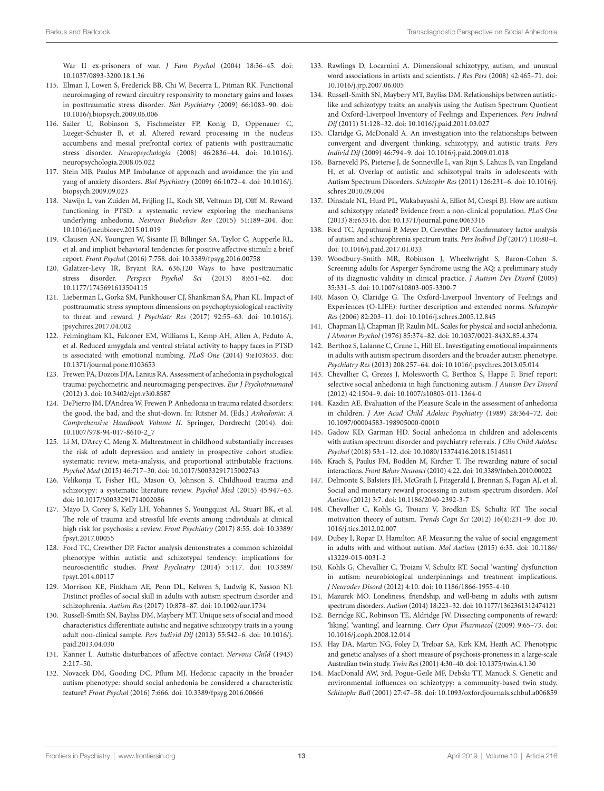War II ex-prisoners of war. *J Fam Psychol* (2004) 18:36–45. doi: [10.1037/0893-3200.18.1.36](https://doi.org/10.1037/0893-3200.18.1.36)

- <span id="page-12-0"></span>115. Elman I, Lowen S, Frederick BB, Chi W, Becerra L, Pitman RK. Functional neuroimaging of reward circuitry responsivity to monetary gains and losses in posttraumatic stress disorder. *Biol Psychiatry* (2009) 66:1083–90. doi: [10.1016/j.biopsych.2009.06.006](https://doi.org/10.1016/j.biopsych.2009.06.006)
- <span id="page-12-1"></span>116. Sailer U, Robinson S, Fischmeister FP, Konig D, Oppenauer C, Lueger-Schuster B, et al. Altered reward processing in the nucleus accumbens and mesial prefrontal cortex of patients with posttraumatic stress disorder. *Neuropsychologia* (2008) 46:2836–44. doi: [10.1016/j.](https://doi.org/10.1016/j.neuropsychologia.2008.05.022) [neuropsychologia.2008.05.022](https://doi.org/10.1016/j.neuropsychologia.2008.05.022)
- <span id="page-12-2"></span>117. Stein MB, Paulus MP. Imbalance of approach and avoidance: the yin and yang of anxiety disorders. *Biol Psychiatry* (2009) 66:1072–4. doi: [10.1016/j.](https://doi.org/10.1016/j.biopsych.2009.09.023) [biopsych.2009.09.023](https://doi.org/10.1016/j.biopsych.2009.09.023)
- <span id="page-12-6"></span>118. Nawijn L, van Zuiden M, Frijling JL, Koch SB, Veltman DJ, Olff M. Reward functioning in PTSD: a systematic review exploring the mechanisms underlying anhedonia. *Neurosci Biobehav Rev* (2015) 51:189–204. doi: [10.1016/j.neubiorev.2015.01.019](https://doi.org/10.1016/j.neubiorev.2015.01.019)
- <span id="page-12-3"></span>119. Clausen AN, Youngren W, Sisante JF, Billinger SA, Taylor C, Aupperle RL, et al. and implicit behavioral tendencies for positive affective stimuli: a brief report. *Front Psychol* (2016) 7:758. doi: [10.3389/fpsyg.2016.00758](https://doi.org/10.3389/fpsyg.2016.00758)
- <span id="page-12-4"></span>120. Galatzer-Levy IR, Bryant RA. 636,120 Ways to have posttraumatic stress disorder. *Perspect Psychol Sci* (2013) 8:651–62. doi: [10.1177/1745691613504115](https://doi.org/10.1177/1745691613504115)
- <span id="page-12-5"></span>121. Lieberman L, Gorka SM, Funkhouser CJ, Shankman SA, Phan KL. Impact of posttraumatic stress symptom dimensions on psychophysiological reactivity to threat and reward. *J Psychiatr Res* (2017) 92:55–63. doi: [10.1016/j.](https://doi.org/10.1016/j.jpsychires.2017.04.002) [jpsychires.2017.04.002](https://doi.org/10.1016/j.jpsychires.2017.04.002)
- <span id="page-12-7"></span>122. Felmingham KL, Falconer EM, Williams L, Kemp AH, Allen A, Peduto A, et al. Reduced amygdala and ventral striatal activity to happy faces in PTSD is associated with emotional numbing. *PLoS One* (2014) 9:e103653. doi: [10.1371/journal.pone.0103653](https://doi.org/10.1371/journal.pone.0103653)
- <span id="page-12-8"></span>123. Frewen PA, Dozois DJA, Lanius RA. Assessment of anhedonia in psychological trauma: psychometric and neuroimaging perspectives. *Eur J Psychotraumatol* (2012) 3. doi: [10.3402/ejpt.v3i0.8587](https://doi.org/10.3402/ejpt.v3i0.8587)
- <span id="page-12-9"></span>124. DePierro JM, D'Andrea W, Frewen P. Anhedonia in trauma related disorders: the good, the bad, and the shut-down. In: Ritsner M. (Eds.) *Anhedonia: A Comprehensive Handbook Volume II*. Springer, Dordrecht (2014). [doi:](https://doi.org/10.1007/978-94-017-8610-2_7)  [10.1007/978-94-017-8610-2\\_7](https://doi.org/10.1007/978-94-017-8610-2_7)
- <span id="page-12-10"></span>125. Li M, D'Arcy C, Meng X. Maltreatment in childhood substantially increases the risk of adult depression and anxiety in prospective cohort studies: systematic review, meta-analysis, and proportional attributable fractions. *Psychol Med* (2015) 46:717–30. doi: [10.1017/S0033291715002743](https://doi.org/10.1017/S0033291715002743)
- <span id="page-12-11"></span>126. Velikonja T, Fisher HL, Mason O, Johnson S. Childhood trauma and schizotypy: a systematic literature review. *Psychol Med* (2015) 45:947–63. doi: [10.1017/S0033291714002086](https://doi.org/10.1017/S0033291714002086)
- <span id="page-12-12"></span>127. Mayo D, Corey S, Kelly LH, Yohannes S, Youngquist AL, Stuart BK, et al. The role of trauma and stressful life events among individuals at clinical high risk for psychosis: a review. *Front Psychiatry* (2017) 8:55. doi: [10.3389/](https://doi.org/10.3389/fpsyt.2017.00055) [fpsyt.2017.00055](https://doi.org/10.3389/fpsyt.2017.00055)
- <span id="page-12-13"></span>128. Ford TC, Crewther DP. Factor analysis demonstrates a common schizoidal phenotype within autistic and schizotypal tendency: implications for neuroscientific studies. *Front Psychiatry* (2014) 5:117. doi: [10.3389/](https://doi.org/10.3389/fpsyt.2014.00117) [fpsyt.2014.00117](https://doi.org/10.3389/fpsyt.2014.00117)
- <span id="page-12-14"></span>129. Morrison KE, Pinkham AE, Penn DL, Kelsven S, Ludwig K, Sasson NJ. Distinct profiles of social skill in adults with autism spectrum disorder and schizophrenia. *Autism Res* (2017) 10:878–87. doi: [10.1002/aur.1734](https://doi.org/10.1002/aur.1734)
- <span id="page-12-15"></span>130. Russell-Smith SN, Bayliss DM, Maybery MT. Unique sets of social and mood characteristics differentiate autistic and negative schizotypy traits in a young adult non-clinical sample. *Pers Individ Dif* (2013) 55:542–6. doi: [10.1016/j.](https://doi.org/10.1016/j.paid.2013.04.030) [paid.2013.04.030](https://doi.org/10.1016/j.paid.2013.04.030)
- <span id="page-12-16"></span>131. Kanner L. Autistic disturbances of affective contact. *Nervous Child* (1943) 2:217–50.
- <span id="page-12-17"></span>132. Novacek DM, Gooding DC, Pflum MJ. Hedonic capacity in the broader autism phenotype: should social anhedonia be considered a characteristic feature? *Front Psychol* (2016) 7:666. doi: [10.3389/fpsyg.2016.00666](https://doi.org/10.3389/fpsyg.2016.00666)
- <span id="page-12-18"></span>133. Rawlings D, Locarnini A. Dimensional schizotypy, autism, and unusual word associations in artists and scientists. *J Res Pers* (2008) 42:465–71. doi: [10.1016/j.jrp.2007.06.005](https://doi.org/10.1016/j.jrp.2007.06.005)
- 134. Russell-Smith SN, Maybery MT, Bayliss DM. Relationships between autisticlike and schizotypy traits: an analysis using the Autism Spectrum Quotient and Oxford-Liverpool Inventory of Feelings and Experiences. *Pers Individ Dif* (2011) 51:128–32. doi: [10.1016/j.paid.2011.03.027](https://doi.org/10.1016/j.paid.2011.03.027)
- 135. Claridge G, McDonald A. An investigation into the relationships between convergent and divergent thinking, schizotypy, and autistic traits. *Pers Individ Dif* (2009) 46:794–9. doi: [10.1016/j.paid.2009.01.018](https://doi.org/10.1016/j.paid.2009.01.018)
- 136. Barneveld PS, Pieterse J, de Sonneville L, van Rijn S, Lahuis B, van Engeland H, et al. Overlap of autistic and schizotypal traits in adolescents with Autism Spectrum Disorders. *Schizophr Res* (2011) 126:231–6. doi: [10.1016/j.](https://doi.org/10.1016/j.schres.2010.09.004) [schres.2010.09.004](https://doi.org/10.1016/j.schres.2010.09.004)
- 137. Dinsdale NL, Hurd PL, Wakabayashi A, Elliot M, Crespi BJ. How are autism and schizotypy related? Evidence from a non-clinical population. *PLoS One* (2013) 8:e63316. doi: [10.1371/journal.pone.0063316](https://doi.org/10.1371/journal.pone.0063316)
- <span id="page-12-19"></span>138. Ford TC, Apputhurai P, Meyer D, Crewther DP. Confirmatory factor analysis of autism and schizophrenia spectrum traits. *Pers Individ Dif* (2017) 110:80–4. doi: [10.1016/j.paid.2017.01.033](https://doi.org/10.1016/j.paid.2017.01.033)
- <span id="page-12-20"></span>139. Woodbury-Smith MR, Robinson J, Wheelwright S, Baron-Cohen S. Screening adults for Asperger Syndrome using the AQ: a preliminary study of its diagnostic validity in clinical practice. *J Autism Dev Disord* (2005) 35:331–5. doi: [10.1007/s10803-005-3300-7](https://doi.org/10.1007/s10803-005-3300-7)
- <span id="page-12-21"></span>140. Mason O, Claridge G. The Oxford-Liverpool Inventory of Feelings and Experiences (O-LIFE): further description and extended norms. *Schizophr Res* (2006) 82:203–11. doi: [10.1016/j.schres.2005.12.845](https://doi.org/10.1016/j.schres.2005.12.845)
- <span id="page-12-22"></span>141. Chapman LJ, Chapman JP, Raulin ML. Scales for physical and social anhedonia. *J Abnorm Psychol* (1976) 85:374–82. doi: [10.1037/0021-843X.85.4.374](https://doi.org/10.1037/0021-843X.85.4.374)
- <span id="page-12-23"></span>142. Berthoz S, Lalanne C, Crane L, Hill EL. Investigating emotional impairments in adults with autism spectrum disorders and the broader autism phenotype. *Psychiatry Res* (2013) 208:257–64. doi: [10.1016/j.psychres.2013.05.014](https://doi.org/10.1016/j.psychres.2013.05.014)
- <span id="page-12-24"></span>143. Chevallier C, Grezes J, Molesworth C, Berthoz S, Happe F. Brief report: selective social anhedonia in high functioning autism. *J Autism Dev Disord* (2012) 42:1504–9. doi: [10.1007/s10803-011-1364-0](https://doi.org/10.1007/s10803-011-1364-0)
- <span id="page-12-25"></span>144. Kazdin AE. Evaluation of the Pleasure Scale in the assessment of anhedonia in children. *J Am Acad Child Adolesc Psychiatry* (1989) 28:364–72. doi: [10.1097/00004583-198905000-00010](https://doi.org/10.1097/00004583-198905000-00010)
- <span id="page-12-26"></span>145. Gadow KD, Garman HD. Social anhedonia in children and adolescents with autism spectrum disorder and psychiatry referrals. *J Clin Child Adolesc Psychol* (2018) 53:1–12. doi: [10.1080/15374416.2018.1514611](https://doi.org/10.1080/15374416.2018.1514611)
- <span id="page-12-27"></span>146. Krach S, Paulus FM, Bodden M, Kircher T. The rewarding nature of social interactions. *Front Behav Neurosci* (2010) 4:22. doi: [10.3389/fnbeh.2010.00022](https://doi.org/10.3389/fnbeh.2010.00022)
- <span id="page-12-28"></span>147. Delmonte S, Balsters JH, McGrath J, Fitzgerald J, Brennan S, Fagan AJ, et al. Social and monetary reward processing in autism spectrum disorders. *Mol Autism* (2012) 3:7. doi: [10.1186/2040-2392-3-7](https://doi.org/10.1186/2040-2392-3-7)
- 148. Chevallier C, Kohls G, Troiani V, Brodkin ES, Schultz RT. The social motivation theory of autism. *Trends Cogn Sci* (2012) 16(4):231–9. doi: [10.](https://doi.org/10.1016/j.tics.2012.02.007) [1016/j.tics.2012.02.007](https://doi.org/10.1016/j.tics.2012.02.007)
- 149. Dubey I, Ropar D, Hamilton AF. Measuring the value of social engagement in adults with and without autism. *Mol Autism* (2015) 6:35. doi: [10.1186/](https://doi.org/10.1186/s13229-015-0031-2) [s13229-015-0031-2](https://doi.org/10.1186/s13229-015-0031-2)
- <span id="page-12-29"></span>150. Kohls G, Chevallier C, Troiani V, Schultz RT. Social 'wanting' dysfunction in autism: neurobiological underpinnings and treatment implications. *J Neurodev Disord* (2012) 4:10. doi: [10.1186/1866-1955-4-10](https://doi.org/10.1186/1866-1955-4-10)
- <span id="page-12-30"></span>151. Mazurek MO. Loneliness, friendship, and well-being in adults with autism spectrum disorders. *Autism* (2014) 18:223–32. doi: [10.1177/1362361312474121](https://doi.org/10.1177/1362361312474121)
- <span id="page-12-31"></span>152. Berridge KC, Robinson TE, Aldridge JW. Dissecting components of reward: 'liking', 'wanting', and learning. *Curr Opin Pharmacol* (2009) 9:65–73. doi: [10.1016/j.coph.2008.12.014](https://doi.org/10.1016/j.coph.2008.12.014)
- <span id="page-12-32"></span>153. Hay DA, Martin NG, Foley D, Treloar SA, Kirk KM, Heath AC. Phenotypic and genetic analyses of a short measure of psychosis-proneness in a large-scale Australian twin study. *Twin Res* (2001) 4:30–40. doi: [10.1375/twin.4.1.30](https://doi.org/10.1375/twin.4.1.30)
- <span id="page-12-33"></span>154. MacDonald AW, 3rd, Pogue-Geile MF, Debski TT, Manuck S. Genetic and environmental influences on schizotypy: a community-based twin study. *Schizophr Bull* (2001) 27:47–58. doi: [10.1093/oxfordjournals.schbul.a006859](https://doi.org/10.1093/oxfordjournals.schbul.a006859)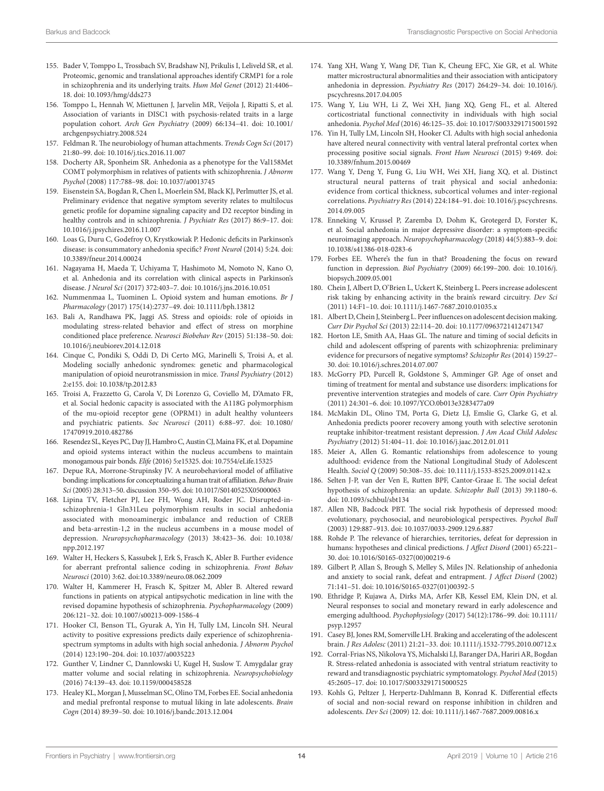- <span id="page-13-0"></span>155. Bader V, Tomppo L, Trossbach SV, Bradshaw NJ, Prikulis I, Leliveld SR, et al. Proteomic, genomic and translational approaches identify CRMP1 for a role in schizophrenia and its underlying traits. *Hum Mol Genet* (2012) 21:4406– 18. doi: [10.1093/hmg/dds273](https://doi.org/10.1093/hmg/dds273)
- <span id="page-13-1"></span>156. Tomppo L, Hennah W, Miettunen J, Jarvelin MR, Veijola J, Ripatti S, et al. Association of variants in DISC1 with psychosis-related traits in a large population cohort. *Arch Gen Psychiatry* (2009) 66:134–41. doi: [10.1001/](https://doi.org/10.1001/archgenpsychiatry.2008.524) [archgenpsychiatry.2008.524](https://doi.org/10.1001/archgenpsychiatry.2008.524)
- <span id="page-13-2"></span>157. Feldman R. The neurobiology of human attachments. *Trends Cogn Sci* (2017) 21:80–99. doi: [10.1016/j.tics.2016.11.007](https://doi.org/10.1016/j.tics.2016.11.007)
- <span id="page-13-3"></span>158. Docherty AR, Sponheim SR. Anhedonia as a phenotype for the Val158Met COMT polymorphism in relatives of patients with schizophrenia. *J Abnorm Psychol* (2008) 117:788–98. doi: [10.1037/a0013745](https://doi.org/10.1037/a0013745)
- <span id="page-13-4"></span>159. Eisenstein SA, Bogdan R, Chen L, Moerlein SM, Black KJ, Perlmutter JS, et al. Preliminary evidence that negative symptom severity relates to multilocus genetic profile for dopamine signaling capacity and D2 receptor binding in healthy controls and in schizophrenia. *J Psychiatr Res* (2017) 86:9–17. doi: [10.1016/j.jpsychires.2016.11.007](https://doi.org/10.1016/j.jpsychires.2016.11.007)
- <span id="page-13-5"></span>160. Loas G, Duru C, Godefroy O, Krystkowiak P. Hedonic deficits in Parkinson's disease: is consummatory anhedonia specific? *Front Neurol* (2014) 5:24. doi: [10.3389/fneur.2014.00024](https://doi.org/10.3389/fneur.2014.00024)
- <span id="page-13-6"></span>161. Nagayama H, Maeda T, Uchiyama T, Hashimoto M, Nomoto N, Kano O, et al. Anhedonia and its correlation with clinical aspects in Parkinson's disease. *J Neurol Sci* (2017) 372:403–7. doi: [10.1016/j.jns.2016.10.051](https://doi.org/10.1016/j.jns.2016.10.051)
- <span id="page-13-7"></span>162. Nummenmaa L, Tuominen L. Opioid system and human emotions. *Br J Pharmacology* (2017) 175(14):2737–49. [doi: 10.1111/bph.13812](https://doi.org/10.1111/bph.13812)
- <span id="page-13-8"></span>163. Bali A, Randhawa PK, Jaggi AS. Stress and opioids: role of opioids in modulating stress-related behavior and effect of stress on morphine conditioned place preference. *Neurosci Biobehav Rev* (2015) 51:138–50. doi: [10.1016/j.neubiorev.2014.12.018](https://doi.org/10.1016/j.neubiorev.2014.12.018)
- <span id="page-13-9"></span>164. Cinque C, Pondiki S, Oddi D, Di Certo MG, Marinelli S, Troisi A, et al. Modeling socially anhedonic syndromes: genetic and pharmacological manipulation of opioid neurotransmission in mice. *Transl Psychiatry* (2012) 2:e155. doi: [10.1038/tp.2012.83](https://doi.org/10.1038/tp.2012.83)
- <span id="page-13-10"></span>165. Troisi A, Frazzetto G, Carola V, Di Lorenzo G, Coviello M, D'Amato FR, et al. Social hedonic capacity is associated with the A118G polymorphism of the mu-opioid receptor gene (OPRM1) in adult healthy volunteers and psychiatric patients. *Soc Neurosci* (2011) 6:88–97. doi: [10.1080/](https://doi.org/10.1080/17470919.2010.482786) [17470919.2010.482786](https://doi.org/10.1080/17470919.2010.482786)
- <span id="page-13-11"></span>166. Resendez SL, Keyes PC, Day JJ, Hambro C, Austin CJ, Maina FK, et al. Dopamine and opioid systems interact within the nucleus accumbens to maintain monogamous pair bonds. *Elife* (2016) 5:e15325. doi: [10.7554/eLife.15325](https://doi.org/10.7554/eLife.15325)
- <span id="page-13-12"></span>167. Depue RA, Morrone-Strupinsky JV. A neurobehavioral model of affiliative bonding: implications for conceptualizing a human trait of affiliation. *Behav Brain Sci* (2005) 28:313–50. discussion 350–95. [doi: 10.1017/S0140525X05000063](https://doi.org/10.1017/S0140525X05000063)
- <span id="page-13-13"></span>168. Lipina TV, Fletcher PJ, Lee FH, Wong AH, Roder JC. Disrupted-inschizophrenia-1 Gln31Leu polymorphism results in social anhedonia associated with monoaminergic imbalance and reduction of CREB and beta-arrestin-1,2 in the nucleus accumbens in a mouse model of depression. *Neuropsychopharmacology* (2013) 38:423–36. doi: [10.1038/](https://doi.org/10.1038/npp.2012.197) [npp.2012.197](https://doi.org/10.1038/npp.2012.197)
- <span id="page-13-14"></span>169. Walter H, Heckers S, Kassubek J, Erk S, Frasch K, Abler B. Further evidence for aberrant prefrontal salience coding in schizophrenia. *Front Behav Neurosci* (2010) 3:62. [doi:10.3389/neuro.08.062.2009](https://doi.org/10.3389/neuro.08.062.2009)
- <span id="page-13-15"></span>170. Walter H, Kammerer H, Frasch K, Spitzer M, Abler B. Altered reward functions in patients on atypical antipsychotic medication in line with the revised dopamine hypothesis of schizophrenia. *Psychopharmacology* (2009) 206:121–32. doi: [10.1007/s00213-009-1586-4](https://doi.org/10.1007/s00213-009-1586-4)
- <span id="page-13-16"></span>171. Hooker CI, Benson TL, Gyurak A, Yin H, Tully LM, Lincoln SH. Neural activity to positive expressions predicts daily experience of schizophreniaspectrum symptoms in adults with high social anhedonia. *J Abnorm Psychol* (2014) 123:190–204. doi: [10.1037/a0035223](https://doi.org/10.1037/a0035223)
- <span id="page-13-17"></span>172. Gunther V, Lindner C, Dannlowski U, Kugel H, Suslow T. Amygdalar gray matter volume and social relating in schizophrenia. *Neuropsychobiology* (2016) 74:139–43. doi: [10.1159/000458528](https://doi.org/10.1159/000458528)
- <span id="page-13-18"></span>173. Healey KL, Morgan J, Musselman SC, Olino TM, Forbes EE. Social anhedonia and medial prefrontal response to mutual liking in late adolescents. *Brain Cogn* (2014) 89:39–50. doi: [10.1016/j.bandc.2013.12.004](https://doi.org/10.1016/j.bandc.2013.12.004)
- <span id="page-13-19"></span>174. Yang XH, Wang Y, Wang DF, Tian K, Cheung EFC, Xie GR, et al. White matter microstructural abnormalities and their association with anticipatory anhedonia in depression. *Psychiatry Res* (2017) 264:29–34. doi: [10.1016/j.](https://doi.org/10.1016/j.pscychresns.2017.04.005) [pscychresns.2017.04.005](https://doi.org/10.1016/j.pscychresns.2017.04.005)
- <span id="page-13-20"></span>175. Wang Y, Liu WH, Li Z, Wei XH, Jiang XQ, Geng FL, et al. Altered corticostriatal functional connectivity in individuals with high social anhedonia. *Psychol Med* (2016) 46:125–35. doi: [10.1017/S0033291715001592](https://doi.org/10.1017/S0033291715001592)
- <span id="page-13-21"></span>176. Yin H, Tully LM, Lincoln SH, Hooker CI. Adults with high social anhedonia have altered neural connectivity with ventral lateral prefrontal cortex when processing positive social signals. *Front Hum Neurosci* (2015) 9:469. doi: [10.3389/fnhum.2015.00469](https://doi.org/10.3389/fnhum.2015.00469)
- <span id="page-13-22"></span>177. Wang Y, Deng Y, Fung G, Liu WH, Wei XH, Jiang XQ, et al. Distinct structural neural patterns of trait physical and social anhedonia: evidence from cortical thickness, subcortical volumes and inter-regional correlations. *Psychiatry Res* (2014) 224:184–91. doi: [10.1016/j.pscychresns.](https://doi.org/10.1016/j.pscychresns.2014.09.005) [2014.09.005](https://doi.org/10.1016/j.pscychresns.2014.09.005)
- <span id="page-13-23"></span>178. Enneking V, Krussel P, Zaremba D, Dohm K, Grotegerd D, Forster K, et al. Social anhedonia in major depressive disorder: a symptom-specific neuroimaging approach. *Neuropsychopharmacology* (2018) 44(5):883–9. [doi:](https://doi.org/10.1038/s41386-018-0283-6)  [10.1038/s41386-018-0283-6](https://doi.org/10.1038/s41386-018-0283-6)
- <span id="page-13-24"></span>179. Forbes EE. Where's the fun in that? Broadening the focus on reward function in depression. *Biol Psychiatry* (2009) 66:199–200. doi: [10.1016/j.](https://doi.org/10.1016/j.biopsych.2009.05.001) [biopsych.2009.05.001](https://doi.org/10.1016/j.biopsych.2009.05.001)
- <span id="page-13-25"></span>180. Chein J, Albert D, O'Brien L, Uckert K, Steinberg L. Peers increase adolescent risk taking by enhancing activity in the brain's reward circuitry. *Dev Sci* (2011) 14:F1–10. doi: [10.1111/j.1467-7687.2010.01035.x](https://doi.org/10.1111/j.1467-7687.2010.01035.x)
- <span id="page-13-26"></span>181. Albert D, Chein J, Steinberg L. Peer influences on adolescent decision making. *Curr Dir Psychol Sci* (2013) 22:114–20. doi: [10.1177/0963721412471347](https://doi.org/10.1177/0963721412471347)
- <span id="page-13-27"></span>182. Horton LE, Smith AA, Haas GL. The nature and timing of social deficits in child and adolescent offspring of parents with schizophrenia: preliminary evidence for precursors of negative symptoms? *Schizophr Res* (2014) 159:27– 30. doi: [10.1016/j.schres.2014.07.007](https://doi.org/10.1016/j.schres.2014.07.007)
- <span id="page-13-28"></span>183. McGorry PD, Purcell R, Goldstone S, Amminger GP. Age of onset and timing of treatment for mental and substance use disorders: implications for preventive intervention strategies and models of care. *Curr Opin Psychiatry* (2011) 24:301–6. doi: [10.1097/YCO.0b013e3283477a09](https://doi.org/10.1097/YCO.0b013e3283477a09)
- <span id="page-13-29"></span>184. McMakin DL, Olino TM, Porta G, Dietz LJ, Emslie G, Clarke G, et al. Anhedonia predicts poorer recovery among youth with selective serotonin reuptake inhibitor-treatment resistant depression. *J Am Acad Child Adolesc Psychiatry* (2012) 51:404–11. doi: [10.1016/j.jaac.2012.01.011](https://doi.org/10.1016/j.jaac.2012.01.011)
- <span id="page-13-30"></span>185. Meier A, Allen G. Romantic relationships from adolescence to young adulthood: evidence from the National Longitudinal Study of Adolescent Health. *Sociol Q* (2009) 50:308–35. doi: [10.1111/j.1533-8525.2009.01142.x](https://doi.org/10.1111/j.1533-8525.2009.01142.x)
- <span id="page-13-31"></span>186. Selten J-P, van der Ven E, Rutten BPF, Cantor-Graae E. The social defeat hypothesis of schizophrenia: an update. *Schizophr Bull* (2013) 39:1180–6. doi: [10.1093/schbul/sbt134](https://doi.org/10.1093/schbul/sbt134)
- 187. Allen NB, Badcock PBT. The social risk hypothesis of depressed mood: evolutionary, psychosocial, and neurobiological perspectives. *Psychol Bull* (2003) 129:887–913. doi: [10.1037/0033-2909.129.6.887](https://doi.org/10.1037/0033-2909.129.6.887)
- 188. Rohde P. The relevance of hierarchies, territories, defeat for depression in humans: hypotheses and clinical predictions. *J Affect Disord* (2001) 65:221– 30. doi: [10.1016/S0165-0327\(00\)00219-6](https://doi.org/10.1016/S0165-0327(00)00219-6)
- <span id="page-13-32"></span>189. Gilbert P, Allan S, Brough S, Melley S, Miles JN. Relationship of anhedonia and anxiety to social rank, defeat and entrapment. *J Affect Disord* (2002) 71:141–51. doi: [10.1016/S0165-0327\(01\)00392-5](https://doi.org/10.1016/S0165-0327(01)00392-5)
- <span id="page-13-33"></span>190. Ethridge P, Kujawa A, Dirks MA, Arfer KB, Kessel EM, Klein DN, et al. Neural responses to social and monetary reward in early adolescence and emerging adulthood. *Psychophysiology* (2017) 54(12):1786–99. doi: [10.1111/](https://doi.org/10.1111/psyp.12957) [psyp.12957](https://doi.org/10.1111/psyp.12957)
- <span id="page-13-34"></span>191. Casey BJ, Jones RM, Somerville LH. Braking and accelerating of the adolescent brain. *J Res Adolesc* (2011) 21:21–33. doi: [10.1111/j.1532-7795.2010.00712.x](https://doi.org/10.1111/j.1532-7795.2010.00712.x)
- <span id="page-13-35"></span>192. Corral-Frias NS, Nikolova YS, Michalski LJ, Baranger DA, Hariri AR, Bogdan R. Stress-related anhedonia is associated with ventral striatum reactivity to reward and transdiagnostic psychiatric symptomatology. *Psychol Med* (2015) 45:2605–17. doi: [10.1017/S0033291715000525](https://doi.org/10.1017/S0033291715000525)
- <span id="page-13-36"></span>193. Kohls G, Peltzer J, Herpertz-Dahlmann B, Konrad K. Differential effects of social and non-social reward on response inhibition in children and adolescents. *Dev Sci* (2009) 12. doi: [10.1111/j.1467-7687.2009.00816.x](https://doi.org/10.1111/j.1467-7687.2009.00816.x)